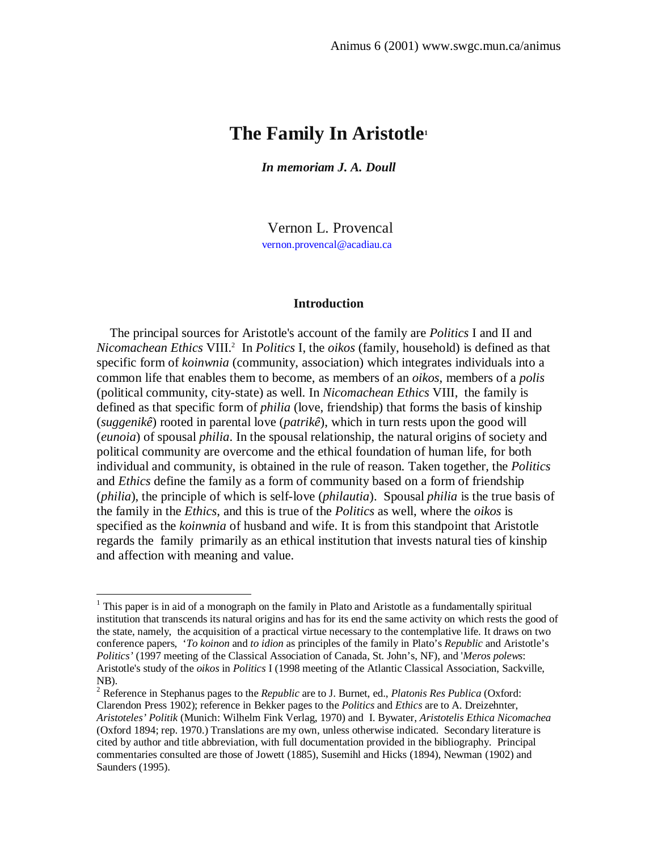# **The Family In Aristotle<sup>1</sup>**

*In memoriam J. A. Doull*

Vernon L. Provencal vernon.provencal@acadiau.ca

## **Introduction**

 The principal sources for Aristotle's account of the family are *Politics* I and II and *Nicomachean Ethics* VIII.<sup>2</sup> In *Politics* I, the *oikos* (family, household) is defined as that specific form of *koinwnia* (community, association) which integrates individuals into a common life that enables them to become, as members of an *oikos*, members of a *polis* (political community, city-state) as well. In *Nicomachean Ethics* VIII, the family is defined as that specific form of *philia* (love, friendship) that forms the basis of kinship (*suggenikê*) rooted in parental love (*patrikê*), which in turn rests upon the good will (*eunoia*) of spousal *philia*. In the spousal relationship, the natural origins of society and political community are overcome and the ethical foundation of human life, for both individual and community, is obtained in the rule of reason. Taken together, the *Politics* and *Ethics* define the family as a form of community based on a form of friendship (*philia*), the principle of which is self-love (*philautia*). Spousal *philia* is the true basis of the family in the *Ethics*, and this is true of the *Politics* as well, where the *oikos* is specified as the *koinwnia* of husband and wife. It is from this standpoint that Aristotle regards the family primarily as an ethical institution that invests natural ties of kinship and affection with meaning and value.

<sup>&</sup>lt;sup>1</sup> This paper is in aid of a monograph on the family in Plato and Aristotle as a fundamentally spiritual institution that transcends its natural origins and has for its end the same activity on which rests the good of the state, namely, the acquisition of a practical virtue necessary to the contemplative life. It draws on two conference papers, '*To koinon* and *to idion* as principles of the family in Plato's *Republic* and Aristotle's *Politics'* (1997 meeting of the Classical Association of Canada, St. John's, NF), and '*Meros polews*: Aristotle's study of the *oikos* in *Politics* I (1998 meeting of the Atlantic Classical Association, Sackville, NB).

<sup>2</sup> Reference in Stephanus pages to the *Republic* are to J. Burnet, ed., *Platonis Res Publica* (Oxford: Clarendon Press 1902); reference in Bekker pages to the *Politics* and *Ethics* are to A. Dreizehnter, *Aristoteles' Politik* (Munich: Wilhelm Fink Verlag, 1970) and I. Bywater, *Aristotelis Ethica Nicomachea* (Oxford 1894; rep. 1970.) Translations are my own, unless otherwise indicated. Secondary literature is cited by author and title abbreviation, with full documentation provided in the bibliography. Principal commentaries consulted are those of Jowett (1885), Susemihl and Hicks (1894), Newman (1902) and Saunders (1995).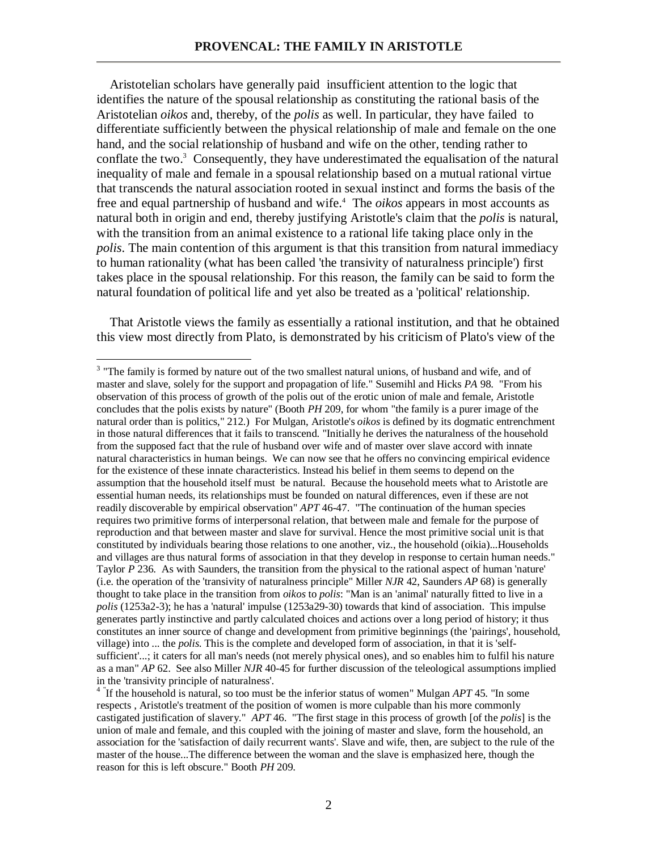Aristotelian scholars have generally paid insufficient attention to the logic that identifies the nature of the spousal relationship as constituting the rational basis of the Aristotelian *oikos* and, thereby, of the *polis* as well. In particular, they have failed to differentiate sufficiently between the physical relationship of male and female on the one hand, and the social relationship of husband and wife on the other, tending rather to conflate the two.<sup>3</sup> Consequently, they have underestimated the equalisation of the natural inequality of male and female in a spousal relationship based on a mutual rational virtue that transcends the natural association rooted in sexual instinct and forms the basis of the free and equal partnership of husband and wife.<sup>4</sup> The *oikos* appears in most accounts as natural both in origin and end, thereby justifying Aristotle's claim that the *polis* is natural, with the transition from an animal existence to a rational life taking place only in the *polis*. The main contention of this argument is that this transition from natural immediacy to human rationality (what has been called 'the transivity of naturalness principle') first takes place in the spousal relationship. For this reason, the family can be said to form the natural foundation of political life and yet also be treated as a 'political' relationship.

 That Aristotle views the family as essentially a rational institution, and that he obtained this view most directly from Plato, is demonstrated by his criticism of Plato's view of the

<sup>&</sup>lt;sup>3</sup> "The family is formed by nature out of the two smallest natural unions, of husband and wife, and of master and slave, solely for the support and propagation of life." Susemihl and Hicks *PA* 98. "From his observation of this process of growth of the polis out of the erotic union of male and female, Aristotle concludes that the polis exists by nature" (Booth *PH* 209, for whom "the family is a purer image of the natural order than is politics," 212.) For Mulgan, Aristotle's *oikos* is defined by its dogmatic entrenchment in those natural differences that it fails to transcend. "Initially he derives the naturalness of the household from the supposed fact that the rule of husband over wife and of master over slave accord with innate natural characteristics in human beings. We can now see that he offers no convincing empirical evidence for the existence of these innate characteristics. Instead his belief in them seems to depend on the assumption that the household itself must be natural. Because the household meets what to Aristotle are essential human needs, its relationships must be founded on natural differences, even if these are not readily discoverable by empirical observation" *APT* 46-47. "The continuation of the human species requires two primitive forms of interpersonal relation, that between male and female for the purpose of reproduction and that between master and slave for survival. Hence the most primitive social unit is that constituted by individuals bearing those relations to one another, viz., the household (oikia)...Households and villages are thus natural forms of association in that they develop in response to certain human needs." Taylor *P* 236. As with Saunders, the transition from the physical to the rational aspect of human 'nature' (i.e. the operation of the 'transivity of naturalness principle" Miller *NJR* 42, Saunders *AP* 68) is generally thought to take place in the transition from *oikos* to *polis*: "Man is an 'animal' naturally fitted to live in a *polis* (1253a2-3); he has a 'natural' impulse (1253a29-30) towards that kind of association. This impulse generates partly instinctive and partly calculated choices and actions over a long period of history; it thus constitutes an inner source of change and development from primitive beginnings (the 'pairings', household, village) into ... the *polis*. This is the complete and developed form of association, in that it is 'selfsufficient'...; it caters for all man's needs (not merely physical ones), and so enables him to fulfil his nature as a man" *AP* 62. See also Miller *NJR* 40-45 for further discussion of the teleological assumptions implied in the 'transivity principle of naturalness'.

<sup>&</sup>lt;sup>4</sup> If the household is natural, so too must be the inferior status of women" Mulgan *APT* 45. "In some respects , Aristotle's treatment of the position of women is more culpable than his more commonly castigated justification of slavery." *APT* 46. "The first stage in this process of growth [of the *polis*] is the union of male and female, and this coupled with the joining of master and slave, form the household, an association for the 'satisfaction of daily recurrent wants'. Slave and wife, then, are subject to the rule of the master of the house...The difference between the woman and the slave is emphasized here, though the reason for this is left obscure." Booth *PH* 209.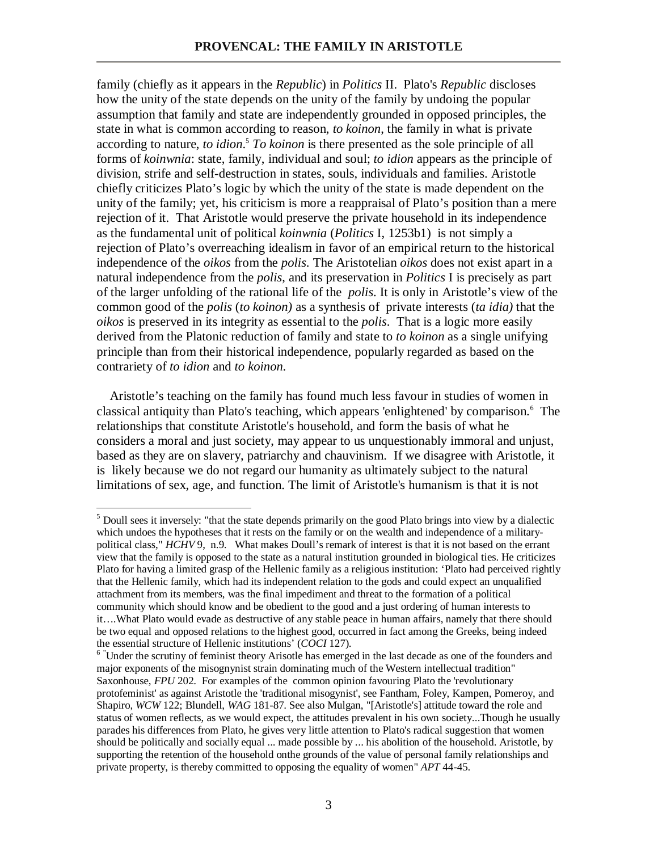family (chiefly as it appears in the *Republic*) in *Politics* II. Plato's *Republic* discloses how the unity of the state depends on the unity of the family by undoing the popular assumption that family and state are independently grounded in opposed principles, the state in what is common according to reason, *to koinon*, the family in what is private according to nature, *to idion*.<sup>5</sup> To koinon is there presented as the sole principle of all forms of *koinwnia*: state, family, individual and soul; *to idion* appears as the principle of division, strife and self-destruction in states, souls, individuals and families. Aristotle chiefly criticizes Plato's logic by which the unity of the state is made dependent on the unity of the family; yet, his criticism is more a reappraisal of Plato's position than a mere rejection of it. That Aristotle would preserve the private household in its independence as the fundamental unit of political *koinwnia* (*Politics* I, 1253b1) is not simply a rejection of Plato's overreaching idealism in favor of an empirical return to the historical independence of the *oikos* from the *polis*. The Aristotelian *oikos* does not exist apart in a natural independence from the *polis*, and its preservation in *Politics* I is precisely as part of the larger unfolding of the rational life of the *polis*. It is only in Aristotle's view of the common good of the *polis* (*to koinon)* as a synthesis of private interests (*ta idia)* that the *oikos* is preserved in its integrity as essential to the *polis*. That is a logic more easily derived from the Platonic reduction of family and state to *to koinon* as a single unifying principle than from their historical independence, popularly regarded as based on the contrariety of *to idion* and *to koinon*.

 Aristotle's teaching on the family has found much less favour in studies of women in classical antiquity than Plato's teaching, which appears 'enlightened' by comparison.<sup>6</sup> The relationships that constitute Aristotle's household, and form the basis of what he considers a moral and just society, may appear to us unquestionably immoral and unjust, based as they are on slavery, patriarchy and chauvinism. If we disagree with Aristotle, it is likely because we do not regard our humanity as ultimately subject to the natural limitations of sex, age, and function. The limit of Aristotle's humanism is that it is not

<sup>&</sup>lt;sup>5</sup> Doull sees it inversely: "that the state depends primarily on the good Plato brings into view by a dialectic which undoes the hypotheses that it rests on the family or on the wealth and independence of a militarypolitical class," *HCHV* 9, n.9. What makes Doull's remark of interest is that it is not based on the errant view that the family is opposed to the state as a natural institution grounded in biological ties. He criticizes Plato for having a limited grasp of the Hellenic family as a religious institution: 'Plato had perceived rightly that the Hellenic family, which had its independent relation to the gods and could expect an unqualified attachment from its members, was the final impediment and threat to the formation of a political community which should know and be obedient to the good and a just ordering of human interests to it….What Plato would evade as destructive of any stable peace in human affairs, namely that there should be two equal and opposed relations to the highest good, occurred in fact among the Greeks, being indeed the essential structure of Hellenic institutions' (*COCI* 127).

<sup>&</sup>lt;sup>6</sup> "Under the scrutiny of feminist theory Arisotle has emerged in the last decade as one of the founders and major exponents of the misognynist strain dominating much of the Western intellectual tradition" Saxonhouse, *FPU* 202. For examples of the common opinion favouring Plato the 'revolutionary protofeminist' as against Aristotle the 'traditional misogynist', see Fantham, Foley, Kampen, Pomeroy, and Shapiro, *WCW* 122; Blundell, *WAG* 181-87. See also Mulgan, "[Aristotle's] attitude toward the role and status of women reflects, as we would expect, the attitudes prevalent in his own society...Though he usually parades his differences from Plato, he gives very little attention to Plato's radical suggestion that women should be politically and socially equal ... made possible by ... his abolition of the household. Aristotle, by supporting the retention of the household onthe grounds of the value of personal family relationships and private property, is thereby committed to opposing the equality of women" *APT* 44-45.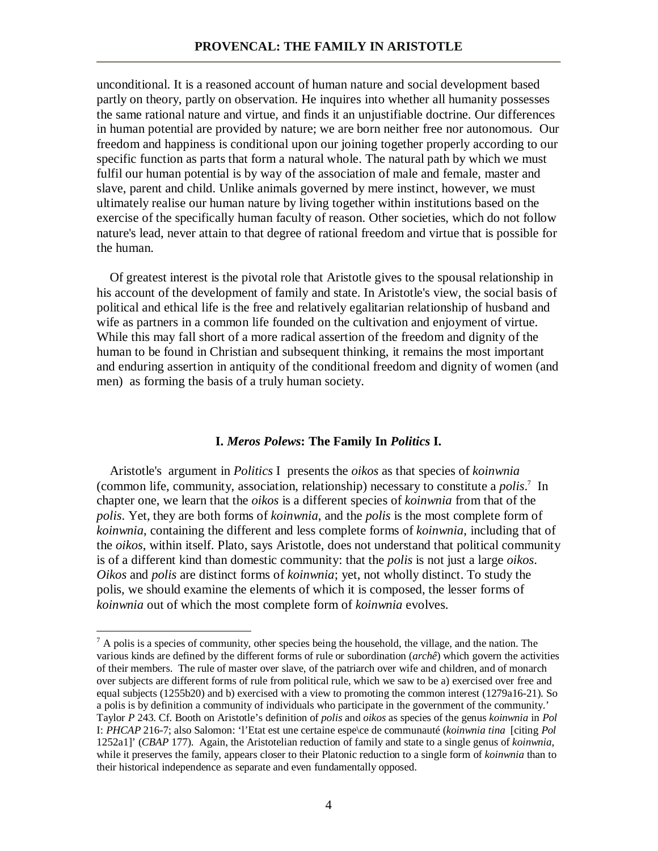unconditional. It is a reasoned account of human nature and social development based partly on theory, partly on observation. He inquires into whether all humanity possesses the same rational nature and virtue, and finds it an unjustifiable doctrine. Our differences in human potential are provided by nature; we are born neither free nor autonomous. Our freedom and happiness is conditional upon our joining together properly according to our specific function as parts that form a natural whole. The natural path by which we must fulfil our human potential is by way of the association of male and female, master and slave, parent and child. Unlike animals governed by mere instinct, however, we must ultimately realise our human nature by living together within institutions based on the exercise of the specifically human faculty of reason. Other societies, which do not follow nature's lead, never attain to that degree of rational freedom and virtue that is possible for the human.

 Of greatest interest is the pivotal role that Aristotle gives to the spousal relationship in his account of the development of family and state. In Aristotle's view, the social basis of political and ethical life is the free and relatively egalitarian relationship of husband and wife as partners in a common life founded on the cultivation and enjoyment of virtue. While this may fall short of a more radical assertion of the freedom and dignity of the human to be found in Christian and subsequent thinking, it remains the most important and enduring assertion in antiquity of the conditional freedom and dignity of women (and men) as forming the basis of a truly human society.

## **I.** *Meros Polews***: The Family In** *Politics* **I.**

 Aristotle's argument in *Politics* I presents the *oikos* as that species of *koinwnia* (common life, community, association, relationship) necessary to constitute a *polis*. 7 In chapter one, we learn that the *oikos* is a different species of *koinwnia* from that of the *polis*. Yet, they are both forms of *koinwnia*, and the *polis* is the most complete form of *koinwnia*, containing the different and less complete forms of *koinwnia*, including that of the *oikos*, within itself. Plato, says Aristotle, does not understand that political community is of a different kind than domestic community: that the *polis* is not just a large *oikos*. *Oikos* and *polis* are distinct forms of *koinwnia*; yet, not wholly distinct. To study the polis, we should examine the elements of which it is composed, the lesser forms of *koinwnia* out of which the most complete form of *koinwnia* evolves.

 $<sup>7</sup>$  A polis is a species of community, other species being the household, the village, and the nation. The</sup> various kinds are defined by the different forms of rule or subordination (*archê*) which govern the activities of their members. The rule of master over slave, of the patriarch over wife and children, and of monarch over subjects are different forms of rule from political rule, which we saw to be a) exercised over free and equal subjects (1255b20) and b) exercised with a view to promoting the common interest (1279a16-21). So a polis is by definition a community of individuals who participate in the government of the community.' Taylor *P* 243. Cf. Booth on Aristotle's definition of *polis* and *oikos* as species of the genus *koinwnia* in *Pol* I: *PHCAP* 216-7; also Salomon: 'l'Etat est une certaine espe\ce de communauté (*koinwnia tina* [citing *Pol* 1252a1]' (*CBAP* 177). Again, the Aristotelian reduction of family and state to a single genus of *koinwnia*, while it preserves the family, appears closer to their Platonic reduction to a single form of *koinwnia* than to their historical independence as separate and even fundamentally opposed.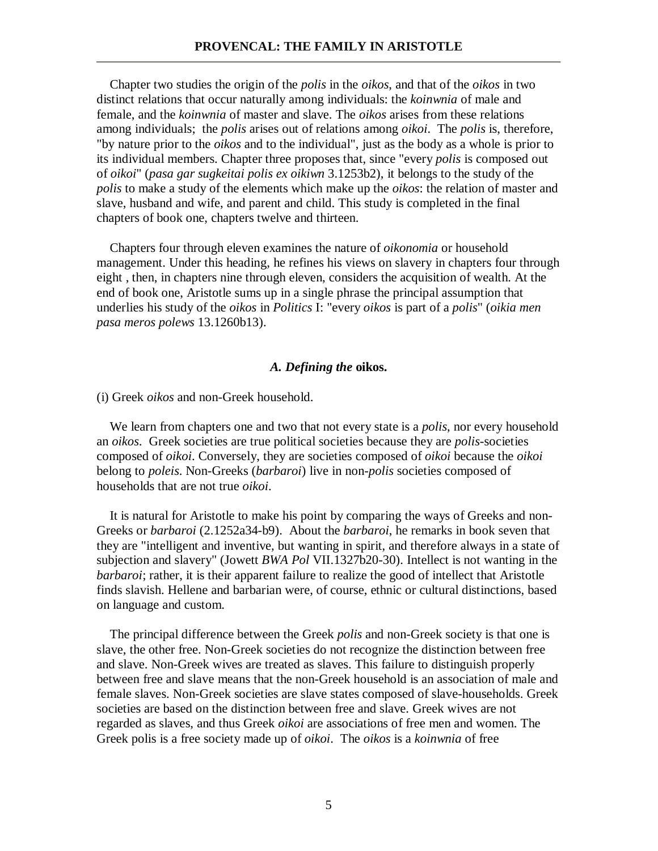Chapter two studies the origin of the *polis* in the *oikos*, and that of the *oikos* in two distinct relations that occur naturally among individuals: the *koinwnia* of male and female, and the *koinwnia* of master and slave. The *oikos* arises from these relations among individuals; the *polis* arises out of relations among *oikoi*. The *polis* is, therefore, "by nature prior to the *oikos* and to the individual", just as the body as a whole is prior to its individual members. Chapter three proposes that, since "every *polis* is composed out of *oikoi*" (*pasa gar sugkeitai polis ex oikiwn* 3.1253b2), it belongs to the study of the *polis* to make a study of the elements which make up the *oikos*: the relation of master and slave, husband and wife, and parent and child. This study is completed in the final chapters of book one, chapters twelve and thirteen.

 Chapters four through eleven examines the nature of *oikonomia* or household management. Under this heading, he refines his views on slavery in chapters four through eight , then, in chapters nine through eleven, considers the acquisition of wealth. At the end of book one, Aristotle sums up in a single phrase the principal assumption that underlies his study of the *oikos* in *Politics* I: "every *oikos* is part of a *polis*" (*oikia men pasa meros polews* 13.1260b13).

## *A. Defining the* **oikos.**

(i) Greek *oikos* and non-Greek household.

 We learn from chapters one and two that not every state is a *polis*, nor every household an *oikos*. Greek societies are true political societies because they are *polis*-societies composed of *oikoi*. Conversely, they are societies composed of *oikoi* because the *oikoi* belong to *poleis*. Non-Greeks (*barbaroi*) live in non-*polis* societies composed of households that are not true *oikoi*.

 It is natural for Aristotle to make his point by comparing the ways of Greeks and non-Greeks or *barbaroi* (2.1252a34-b9). About the *barbaroi*, he remarks in book seven that they are "intelligent and inventive, but wanting in spirit, and therefore always in a state of subjection and slavery" (Jowett *BWA Pol* VII.1327b20-30). Intellect is not wanting in the *barbaroi*; rather, it is their apparent failure to realize the good of intellect that Aristotle finds slavish. Hellene and barbarian were, of course, ethnic or cultural distinctions, based on language and custom.

 The principal difference between the Greek *polis* and non-Greek society is that one is slave, the other free. Non-Greek societies do not recognize the distinction between free and slave. Non-Greek wives are treated as slaves. This failure to distinguish properly between free and slave means that the non-Greek household is an association of male and female slaves. Non-Greek societies are slave states composed of slave-households. Greek societies are based on the distinction between free and slave. Greek wives are not regarded as slaves, and thus Greek *oikoi* are associations of free men and women. The Greek polis is a free society made up of *oikoi*. The *oikos* is a *koinwnia* of free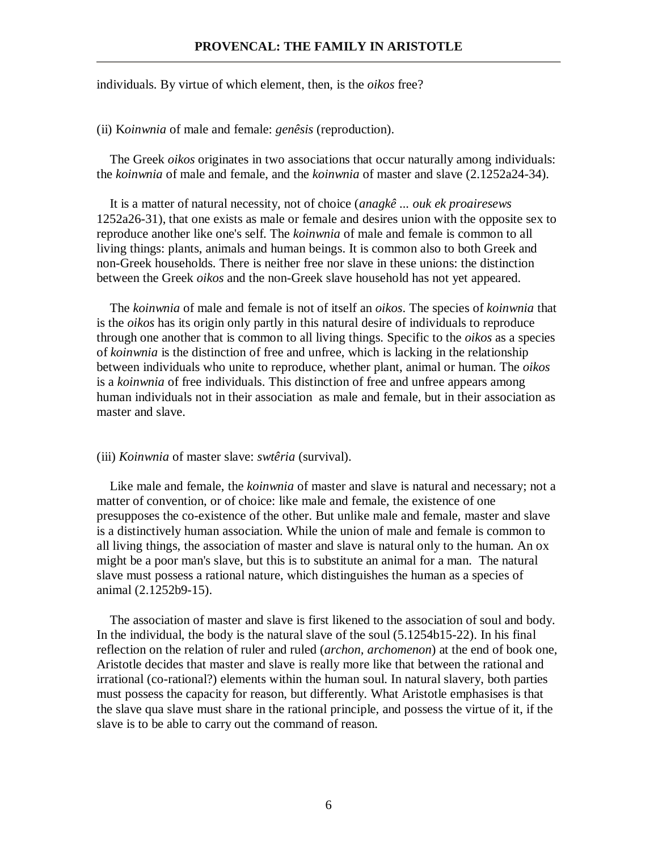## **PROVENCAL: THE FAMILY IN ARISTOTLE**

individuals. By virtue of which element, then, is the *oikos* free?

(ii) K*oinwnia* of male and female: *genêsis* (reproduction).

 The Greek *oikos* originates in two associations that occur naturally among individuals: the *koinwnia* of male and female, and the *koinwnia* of master and slave (2.1252a24-34).

 It is a matter of natural necessity, not of choice (*anagkê ... ouk ek proairesews*  1252a26-31), that one exists as male or female and desires union with the opposite sex to reproduce another like one's self. The *koinwnia* of male and female is common to all living things: plants, animals and human beings. It is common also to both Greek and non-Greek households. There is neither free nor slave in these unions: the distinction between the Greek *oikos* and the non-Greek slave household has not yet appeared.

 The *koinwnia* of male and female is not of itself an *oikos*. The species of *koinwnia* that is the *oikos* has its origin only partly in this natural desire of individuals to reproduce through one another that is common to all living things. Specific to the *oikos* as a species of *koinwnia* is the distinction of free and unfree, which is lacking in the relationship between individuals who unite to reproduce, whether plant, animal or human. The *oikos* is a *koinwnia* of free individuals. This distinction of free and unfree appears among human individuals not in their association as male and female, but in their association as master and slave.

#### (iii) *Koinwnia* of master slave: *swtêria* (survival).

 Like male and female, the *koinwnia* of master and slave is natural and necessary; not a matter of convention, or of choice: like male and female, the existence of one presupposes the co-existence of the other. But unlike male and female, master and slave is a distinctively human association. While the union of male and female is common to all living things, the association of master and slave is natural only to the human. An ox might be a poor man's slave, but this is to substitute an animal for a man. The natural slave must possess a rational nature, which distinguishes the human as a species of animal (2.1252b9-15).

 The association of master and slave is first likened to the association of soul and body. In the individual, the body is the natural slave of the soul (5.1254b15-22). In his final reflection on the relation of ruler and ruled (*archon, archomenon*) at the end of book one, Aristotle decides that master and slave is really more like that between the rational and irrational (co-rational?) elements within the human soul. In natural slavery, both parties must possess the capacity for reason, but differently. What Aristotle emphasises is that the slave qua slave must share in the rational principle, and possess the virtue of it, if the slave is to be able to carry out the command of reason.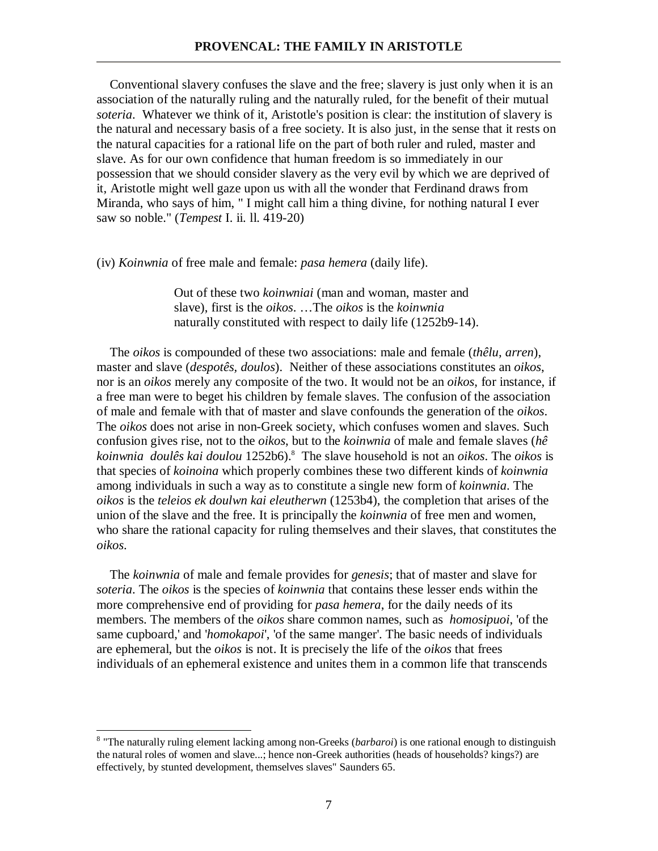Conventional slavery confuses the slave and the free; slavery is just only when it is an association of the naturally ruling and the naturally ruled, for the benefit of their mutual *soteria*. Whatever we think of it, Aristotle's position is clear: the institution of slavery is the natural and necessary basis of a free society. It is also just, in the sense that it rests on the natural capacities for a rational life on the part of both ruler and ruled, master and slave. As for our own confidence that human freedom is so immediately in our possession that we should consider slavery as the very evil by which we are deprived of it, Aristotle might well gaze upon us with all the wonder that Ferdinand draws from Miranda, who says of him, " I might call him a thing divine, for nothing natural I ever saw so noble." (*Tempest* I. ii. ll. 419-20)

(iv) *Koinwnia* of free male and female: *pasa hemera* (daily life).

Out of these two *koinwniai* (man and woman, master and slave), first is the *oikos*. …The *oikos* is the *koinwnia* naturally constituted with respect to daily life (1252b9-14).

 The *oikos* is compounded of these two associations: male and female (*thêlu, arren*), master and slave (*despotês, doulos*). Neither of these associations constitutes an *oikos*, nor is an *oikos* merely any composite of the two. It would not be an *oikos*, for instance, if a free man were to beget his children by female slaves. The confusion of the association of male and female with that of master and slave confounds the generation of the *oikos*. The *oikos* does not arise in non-Greek society, which confuses women and slaves. Such confusion gives rise, not to the *oikos*, but to the *koinwnia* of male and female slaves (*hê koinwnia doulês kai doulou* 1252b6).<sup>8</sup> The slave household is not an *oikos*. The *oikos* is that species of *koinoina* which properly combines these two different kinds of *koinwnia* among individuals in such a way as to constitute a single new form of *koinwnia*. The *oikos* is the *teleios ek doulwn kai eleutherwn* (1253b4), the completion that arises of the union of the slave and the free. It is principally the *koinwnia* of free men and women, who share the rational capacity for ruling themselves and their slaves, that constitutes the *oikos*.

 The *koinwnia* of male and female provides for *genesis*; that of master and slave for *soteria*. The *oikos* is the species of *koinwnia* that contains these lesser ends within the more comprehensive end of providing for *pasa hemera*, for the daily needs of its members. The members of the *oikos* share common names, such as *homosipuoi*, 'of the same cupboard,' and '*homokapoi*', 'of the same manger'. The basic needs of individuals are ephemeral, but the *oikos* is not. It is precisely the life of the *oikos* that frees individuals of an ephemeral existence and unites them in a common life that transcends

 8 "The naturally ruling element lacking among non-Greeks (*barbaroi*) is one rational enough to distinguish the natural roles of women and slave...; hence non-Greek authorities (heads of households? kings?) are effectively, by stunted development, themselves slaves" Saunders 65.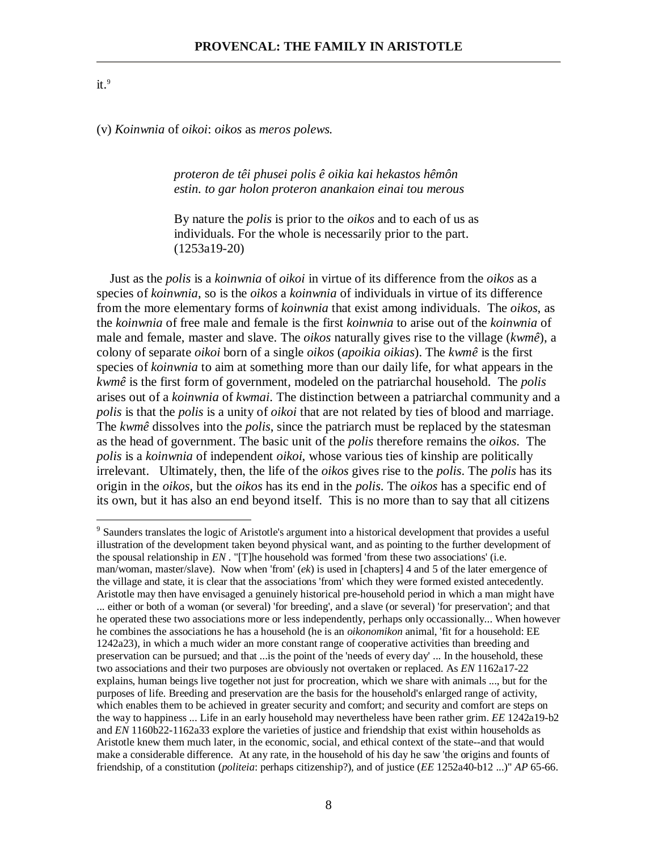## $it.^9$

(v) *Koinwnia* of *oikoi*: *oikos* as *meros polews.* 

*proteron de têi phusei polis ê oikia kai hekastos hêmôn estin. to gar holon proteron anankaion einai tou merous*

By nature the *polis* is prior to the *oikos* and to each of us as individuals. For the whole is necessarily prior to the part. (1253a19-20)

 Just as the *polis* is a *koinwnia* of *oikoi* in virtue of its difference from the *oikos* as a species of *koinwnia*, so is the *oikos* a *koinwnia* of individuals in virtue of its difference from the more elementary forms of *koinwnia* that exist among individuals. The *oikos*, as the *koinwnia* of free male and female is the first *koinwnia* to arise out of the *koinwnia* of male and female, master and slave. The *oikos* naturally gives rise to the village (*kwmê*), a colony of separate *oikoi* born of a single *oikos* (*apoikia oikias*). The *kwmê* is the first species of *koinwnia* to aim at something more than our daily life, for what appears in the *kwmê* is the first form of government, modeled on the patriarchal household. The *polis* arises out of a *koinwnia* of *kwmai*. The distinction between a patriarchal community and a *polis* is that the *polis* is a unity of *oikoi* that are not related by ties of blood and marriage. The *kwmê* dissolves into the *polis*, since the patriarch must be replaced by the statesman as the head of government. The basic unit of the *polis* therefore remains the *oikos*. The *polis* is a *koinwnia* of independent *oikoi*, whose various ties of kinship are politically irrelevant. Ultimately, then, the life of the *oikos* gives rise to the *polis*. The *polis* has its origin in the *oikos*, but the *oikos* has its end in the *polis*. The *oikos* has a specific end of its own, but it has also an end beyond itself. This is no more than to say that all citizens

**Solution**<br>
<sup>9</sup> Saunders translates the logic of Aristotle's argument into a historical development that provides a useful illustration of the development taken beyond physical want, and as pointing to the further development of the spousal relationship in *EN* . "[T]he household was formed 'from these two associations' (i.e. man/woman, master/slave). Now when 'from' (*ek*) is used in [chapters] 4 and 5 of the later emergence of the village and state, it is clear that the associations 'from' which they were formed existed antecedently. Aristotle may then have envisaged a genuinely historical pre-household period in which a man might have ... either or both of a woman (or several) 'for breeding', and a slave (or several) 'for preservation'; and that he operated these two associations more or less independently, perhaps only occassionally... When however he combines the associations he has a household (he is an *oikonomikon* animal, 'fit for a household: EE 1242a23), in which a much wider an more constant range of cooperative activities than breeding and preservation can be pursued; and that ...is the point of the 'needs of every day' ... In the household, these two associations and their two purposes are obviously not overtaken or replaced. As *EN* 1162a17-22 explains, human beings live together not just for procreation, which we share with animals ..., but for the purposes of life. Breeding and preservation are the basis for the household's enlarged range of activity, which enables them to be achieved in greater security and comfort; and security and comfort are steps on the way to happiness ... Life in an early household may nevertheless have been rather grim. *EE* 1242a19-b2 and *EN* 1160b22-1162a33 explore the varieties of justice and friendship that exist within households as Aristotle knew them much later, in the economic, social, and ethical context of the state--and that would make a considerable difference. At any rate, in the household of his day he saw 'the origins and founts of friendship, of a constitution (*politeia*: perhaps citizenship?), and of justice (*EE* 1252a40-b12 ...)" *AP* 65-66.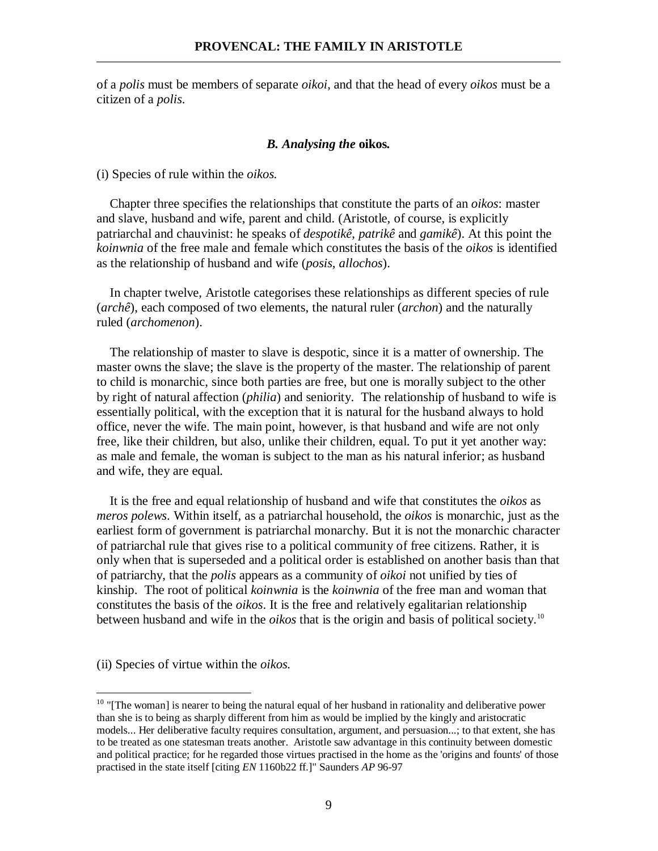of a *polis* must be members of separate *oikoi*, and that the head of every *oikos* must be a citizen of a *polis*.

## *B. Analysing the* **oikos***.*

(i) Species of rule within the *oikos.*

 Chapter three specifies the relationships that constitute the parts of an *oikos*: master and slave, husband and wife, parent and child. (Aristotle, of course, is explicitly patriarchal and chauvinist: he speaks of *despotikê*, *patrikê* and *gamikê*). At this point the *koinwnia* of the free male and female which constitutes the basis of the *oikos* is identified as the relationship of husband and wife (*posis*, *allochos*).

 In chapter twelve, Aristotle categorises these relationships as different species of rule (*archê*), each composed of two elements, the natural ruler (*archon*) and the naturally ruled (*archomenon*).

 The relationship of master to slave is despotic, since it is a matter of ownership. The master owns the slave; the slave is the property of the master. The relationship of parent to child is monarchic, since both parties are free, but one is morally subject to the other by right of natural affection (*philia*) and seniority. The relationship of husband to wife is essentially political, with the exception that it is natural for the husband always to hold office, never the wife. The main point, however, is that husband and wife are not only free, like their children, but also, unlike their children, equal. To put it yet another way: as male and female, the woman is subject to the man as his natural inferior; as husband and wife, they are equal.

 It is the free and equal relationship of husband and wife that constitutes the *oikos* as *meros polews*. Within itself, as a patriarchal household, the *oikos* is monarchic, just as the earliest form of government is patriarchal monarchy. But it is not the monarchic character of patriarchal rule that gives rise to a political community of free citizens. Rather, it is only when that is superseded and a political order is established on another basis than that of patriarchy, that the *polis* appears as a community of *oikoi* not unified by ties of kinship. The root of political *koinwnia* is the *koinwnia* of the free man and woman that constitutes the basis of the *oikos*. It is the free and relatively egalitarian relationship between husband and wife in the *oikos* that is the origin and basis of political society.<sup>10</sup>

(ii) Species of virtue within the *oikos.*

-

 $10$  "[The woman] is nearer to being the natural equal of her husband in rationality and deliberative power than she is to being as sharply different from him as would be implied by the kingly and aristocratic models... Her deliberative faculty requires consultation, argument, and persuasion...; to that extent, she has to be treated as one statesman treats another. Aristotle saw advantage in this continuity between domestic and political practice; for he regarded those virtues practised in the home as the 'origins and founts' of those practised in the state itself [citing *EN* 1160b22 ff.]" Saunders *AP* 96-97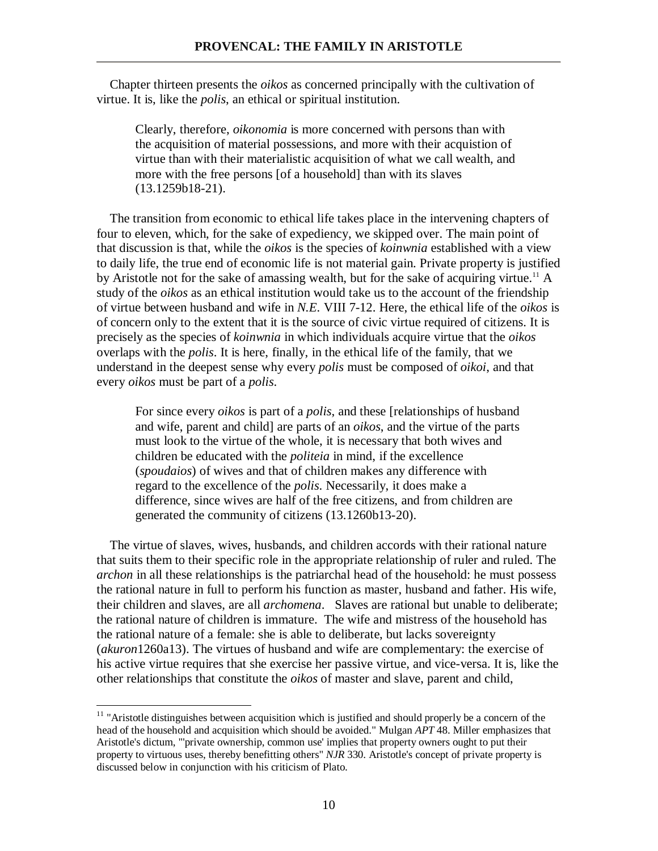Chapter thirteen presents the *oikos* as concerned principally with the cultivation of virtue. It is, like the *polis*, an ethical or spiritual institution.

Clearly, therefore, *oikonomia* is more concerned with persons than with the acquisition of material possessions, and more with their acquistion of virtue than with their materialistic acquisition of what we call wealth, and more with the free persons [of a household] than with its slaves (13.1259b18-21).

 The transition from economic to ethical life takes place in the intervening chapters of four to eleven, which, for the sake of expediency, we skipped over. The main point of that discussion is that, while the *oikos* is the species of *koinwnia* established with a view to daily life, the true end of economic life is not material gain. Private property is justified by Aristotle not for the sake of amassing wealth, but for the sake of acquiring virtue.<sup>11</sup> A study of the *oikos* as an ethical institution would take us to the account of the friendship of virtue between husband and wife in *N.E.* VIII 7-12. Here, the ethical life of the *oikos* is of concern only to the extent that it is the source of civic virtue required of citizens. It is precisely as the species of *koinwnia* in which individuals acquire virtue that the *oikos* overlaps with the *polis*. It is here, finally, in the ethical life of the family, that we understand in the deepest sense why every *polis* must be composed of *oikoi*, and that every *oikos* must be part of a *polis*.

For since every *oikos* is part of a *polis*, and these [relationships of husband and wife, parent and child] are parts of an *oikos*, and the virtue of the parts must look to the virtue of the whole, it is necessary that both wives and children be educated with the *politeia* in mind, if the excellence (*spoudaios*) of wives and that of children makes any difference with regard to the excellence of the *polis*. Necessarily, it does make a difference, since wives are half of the free citizens, and from children are generated the community of citizens (13.1260b13-20).

 The virtue of slaves, wives, husbands, and children accords with their rational nature that suits them to their specific role in the appropriate relationship of ruler and ruled. The *archon* in all these relationships is the patriarchal head of the household: he must possess the rational nature in full to perform his function as master, husband and father. His wife, their children and slaves, are all *archomena*. Slaves are rational but unable to deliberate; the rational nature of children is immature. The wife and mistress of the household has the rational nature of a female: she is able to deliberate, but lacks sovereignty (*akuron*1260a13). The virtues of husband and wife are complementary: the exercise of his active virtue requires that she exercise her passive virtue, and vice-versa. It is, like the other relationships that constitute the *oikos* of master and slave, parent and child,

 $11$  "Aristotle distinguishes between acquisition which is justified and should properly be a concern of the head of the household and acquisition which should be avoided." Mulgan *APT* 48. Miller emphasizes that Aristotle's dictum, "'private ownership, common use' implies that property owners ought to put their property to virtuous uses, thereby benefitting others" *NJR* 330. Aristotle's concept of private property is discussed below in conjunction with his criticism of Plato.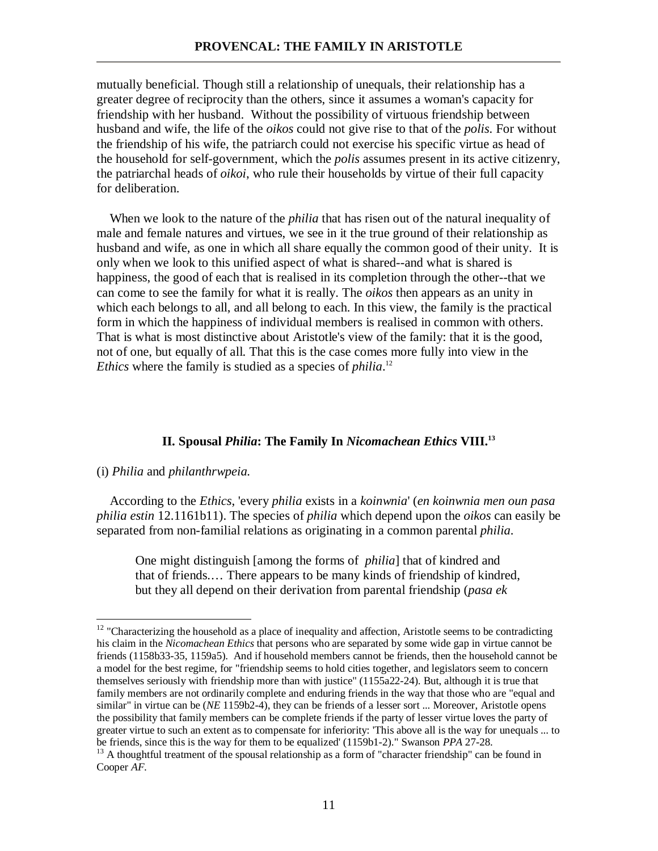mutually beneficial. Though still a relationship of unequals, their relationship has a greater degree of reciprocity than the others, since it assumes a woman's capacity for friendship with her husband. Without the possibility of virtuous friendship between husband and wife, the life of the *oikos* could not give rise to that of the *polis*. For without the friendship of his wife, the patriarch could not exercise his specific virtue as head of the household for self-government, which the *polis* assumes present in its active citizenry, the patriarchal heads of *oikoi*, who rule their households by virtue of their full capacity for deliberation.

 When we look to the nature of the *philia* that has risen out of the natural inequality of male and female natures and virtues, we see in it the true ground of their relationship as husband and wife, as one in which all share equally the common good of their unity. It is only when we look to this unified aspect of what is shared--and what is shared is happiness, the good of each that is realised in its completion through the other--that we can come to see the family for what it is really. The *oikos* then appears as an unity in which each belongs to all, and all belong to each. In this view, the family is the practical form in which the happiness of individual members is realised in common with others. That is what is most distinctive about Aristotle's view of the family: that it is the good, not of one, but equally of all. That this is the case comes more fully into view in the *Ethics* where the family is studied as a species of *philia*. 12

# **II. Spousal** *Philia***: The Family In** *Nicomachean Ethics* **VIII.<sup>13</sup>**

#### (i) *Philia* and *philanthrwpeia.*

<u>.</u>

 According to the *Ethics*, 'every *philia* exists in a *koinwnia*' (*en koinwnia men oun pasa philia estin* 12.1161b11). The species of *philia* which depend upon the *oikos* can easily be separated from non-familial relations as originating in a common parental *philia*.

One might distinguish [among the forms of *philia*] that of kindred and that of friends.… There appears to be many kinds of friendship of kindred, but they all depend on their derivation from parental friendship (*pasa ek* 

 $12$  "Characterizing the household as a place of inequality and affection, Aristotle seems to be contradicting his claim in the *Nicomachean Ethics* that persons who are separated by some wide gap in virtue cannot be friends (1158b33-35, 1159a5). And if household members cannot be friends, then the household cannot be a model for the best regime, for "friendship seems to hold cities together, and legislators seem to concern themselves seriously with friendship more than with justice" (1155a22-24). But, although it is true that family members are not ordinarily complete and enduring friends in the way that those who are "equal and similar" in virtue can be (*NE* 1159b2-4), they can be friends of a lesser sort ... Moreover, Aristotle opens the possibility that family members can be complete friends if the party of lesser virtue loves the party of greater virtue to such an extent as to compensate for inferiority: 'This above all is the way for unequals ... to be friends, since this is the way for them to be equalized' (1159b1-2)." Swanson *PPA* 27-28.

<sup>&</sup>lt;sup>13</sup> A thoughtful treatment of the spousal relationship as a form of "character friendship" can be found in Cooper *AF*.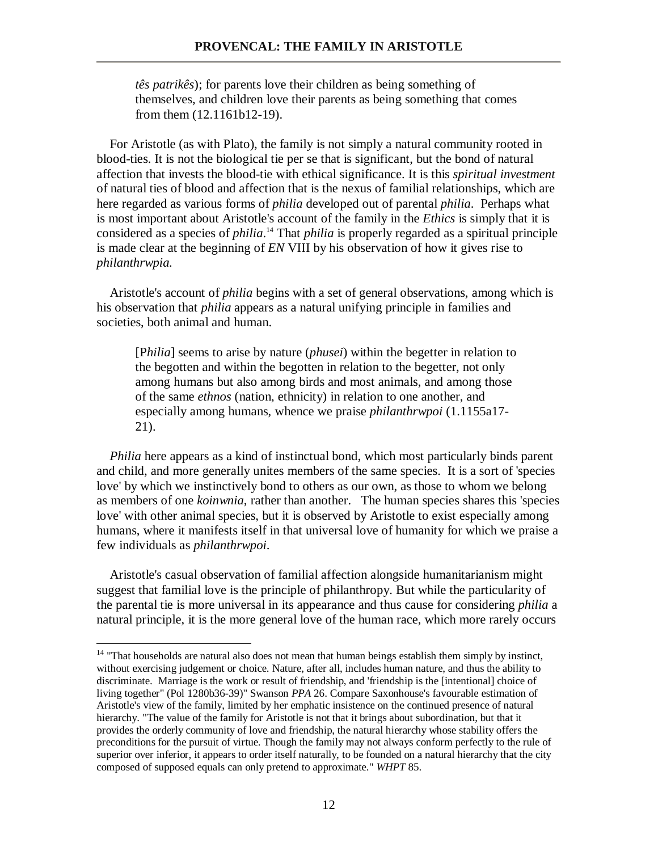*tês patrikês*); for parents love their children as being something of themselves, and children love their parents as being something that comes from them (12.1161b12-19).

 For Aristotle (as with Plato), the family is not simply a natural community rooted in blood-ties. It is not the biological tie per se that is significant, but the bond of natural affection that invests the blood-tie with ethical significance. It is this *spiritual investment* of natural ties of blood and affection that is the nexus of familial relationships, which are here regarded as various forms of *philia* developed out of parental *philia*. Perhaps what is most important about Aristotle's account of the family in the *Ethics* is simply that it is considered as a species of *philia*. <sup>14</sup> That *philia* is properly regarded as a spiritual principle is made clear at the beginning of *EN* VIII by his observation of how it gives rise to *philanthrwpia.*

 Aristotle's account of *philia* begins with a set of general observations, among which is his observation that *philia* appears as a natural unifying principle in families and societies, both animal and human.

[P*hilia*] seems to arise by nature (*phusei*) within the begetter in relation to the begotten and within the begotten in relation to the begetter, not only among humans but also among birds and most animals, and among those of the same *ethnos* (nation, ethnicity) in relation to one another, and especially among humans, whence we praise *philanthrwpoi* (1.1155a17- 21).

 *Philia* here appears as a kind of instinctual bond, which most particularly binds parent and child, and more generally unites members of the same species. It is a sort of 'species love' by which we instinctively bond to others as our own, as those to whom we belong as members of one *koinwnia*, rather than another. The human species shares this 'species love' with other animal species, but it is observed by Aristotle to exist especially among humans, where it manifests itself in that universal love of humanity for which we praise a few individuals as *philanthrwpoi*.

 Aristotle's casual observation of familial affection alongside humanitarianism might suggest that familial love is the principle of philanthropy. But while the particularity of the parental tie is more universal in its appearance and thus cause for considering *philia* a natural principle, it is the more general love of the human race, which more rarely occurs

-

<sup>&</sup>lt;sup>14</sup> "That households are natural also does not mean that human beings establish them simply by instinct, without exercising judgement or choice. Nature, after all, includes human nature, and thus the ability to discriminate. Marriage is the work or result of friendship, and 'friendship is the [intentional] choice of living together" (Pol 1280b36-39)" Swanson *PPA* 26. Compare Saxonhouse's favourable estimation of Aristotle's view of the family, limited by her emphatic insistence on the continued presence of natural hierarchy. "The value of the family for Aristotle is not that it brings about subordination, but that it provides the orderly community of love and friendship, the natural hierarchy whose stability offers the preconditions for the pursuit of virtue. Though the family may not always conform perfectly to the rule of superior over inferior, it appears to order itself naturally, to be founded on a natural hierarchy that the city composed of supposed equals can only pretend to approximate." *WHPT* 85.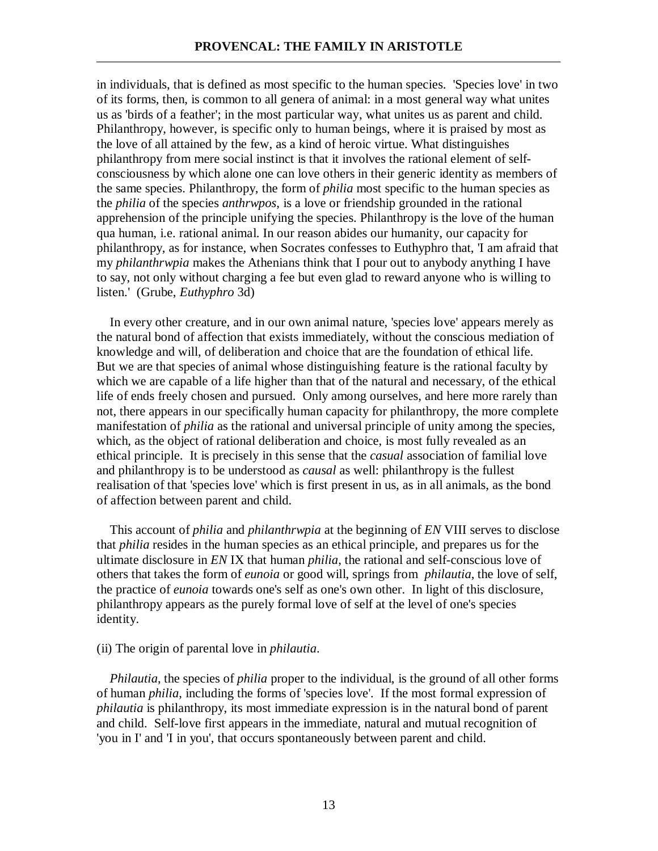in individuals, that is defined as most specific to the human species. 'Species love' in two of its forms, then, is common to all genera of animal: in a most general way what unites us as 'birds of a feather'; in the most particular way, what unites us as parent and child. Philanthropy, however, is specific only to human beings, where it is praised by most as the love of all attained by the few, as a kind of heroic virtue. What distinguishes philanthropy from mere social instinct is that it involves the rational element of selfconsciousness by which alone one can love others in their generic identity as members of the same species. Philanthropy, the form of *philia* most specific to the human species as the *philia* of the species *anthrwpos*, is a love or friendship grounded in the rational apprehension of the principle unifying the species. Philanthropy is the love of the human qua human, i.e. rational animal. In our reason abides our humanity, our capacity for philanthropy, as for instance, when Socrates confesses to Euthyphro that, 'I am afraid that my *philanthrwpia* makes the Athenians think that I pour out to anybody anything I have to say, not only without charging a fee but even glad to reward anyone who is willing to listen.' (Grube, *Euthyphro* 3d)

 In every other creature, and in our own animal nature, 'species love' appears merely as the natural bond of affection that exists immediately, without the conscious mediation of knowledge and will, of deliberation and choice that are the foundation of ethical life. But we are that species of animal whose distinguishing feature is the rational faculty by which we are capable of a life higher than that of the natural and necessary, of the ethical life of ends freely chosen and pursued. Only among ourselves, and here more rarely than not, there appears in our specifically human capacity for philanthropy, the more complete manifestation of *philia* as the rational and universal principle of unity among the species, which, as the object of rational deliberation and choice, is most fully revealed as an ethical principle. It is precisely in this sense that the *casual* association of familial love and philanthropy is to be understood as *causal* as well: philanthropy is the fullest realisation of that 'species love' which is first present in us, as in all animals, as the bond of affection between parent and child.

 This account of *philia* and *philanthrwpia* at the beginning of *EN* VIII serves to disclose that *philia* resides in the human species as an ethical principle, and prepares us for the ultimate disclosure in *EN* IX that human *philia*, the rational and self-conscious love of others that takes the form of *eunoia* or good will, springs from *philautia*, the love of self, the practice of *eunoia* towards one's self as one's own other. In light of this disclosure, philanthropy appears as the purely formal love of self at the level of one's species identity.

## (ii) The origin of parental love in *philautia*.

*Philautia*, the species of *philia* proper to the individual, is the ground of all other forms of human *philia*, including the forms of 'species love'. If the most formal expression of *philautia* is philanthropy, its most immediate expression is in the natural bond of parent and child. Self-love first appears in the immediate, natural and mutual recognition of 'you in I' and 'I in you', that occurs spontaneously between parent and child.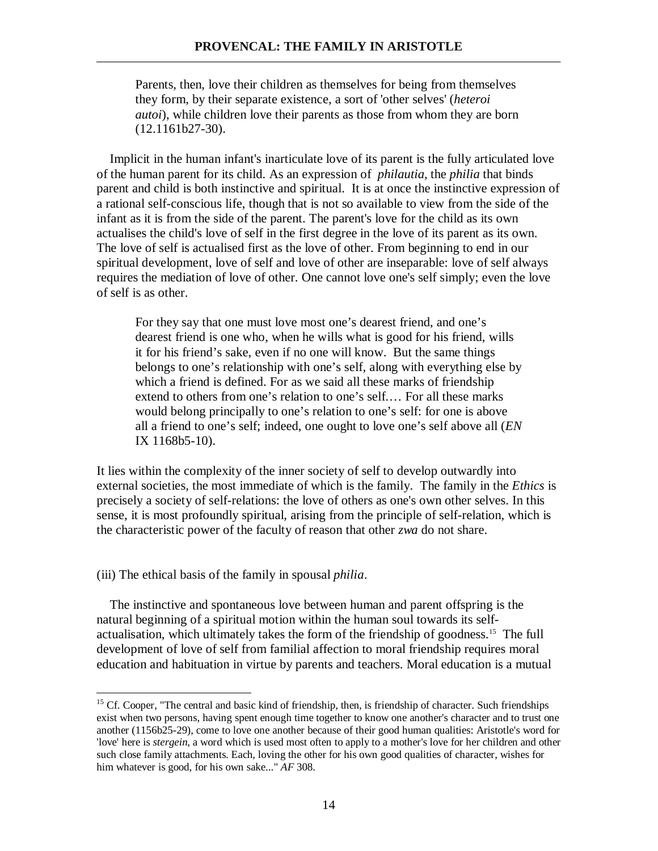Parents, then, love their children as themselves for being from themselves they form, by their separate existence, a sort of 'other selves' (*heteroi autoi*), while children love their parents as those from whom they are born (12.1161b27-30).

 Implicit in the human infant's inarticulate love of its parent is the fully articulated love of the human parent for its child. As an expression of *philautia*, the *philia* that binds parent and child is both instinctive and spiritual. It is at once the instinctive expression of a rational self-conscious life, though that is not so available to view from the side of the infant as it is from the side of the parent. The parent's love for the child as its own actualises the child's love of self in the first degree in the love of its parent as its own. The love of self is actualised first as the love of other. From beginning to end in our spiritual development, love of self and love of other are inseparable: love of self always requires the mediation of love of other. One cannot love one's self simply; even the love of self is as other.

For they say that one must love most one's dearest friend, and one's dearest friend is one who, when he wills what is good for his friend, wills it for his friend's sake, even if no one will know. But the same things belongs to one's relationship with one's self, along with everything else by which a friend is defined. For as we said all these marks of friendship extend to others from one's relation to one's self.… For all these marks would belong principally to one's relation to one's self: for one is above all a friend to one's self; indeed, one ought to love one's self above all (*EN* IX 1168b5-10).

It lies within the complexity of the inner society of self to develop outwardly into external societies, the most immediate of which is the family. The family in the *Ethics* is precisely a society of self-relations: the love of others as one's own other selves. In this sense, it is most profoundly spiritual, arising from the principle of self-relation, which is the characteristic power of the faculty of reason that other *zwa* do not share.

(iii) The ethical basis of the family in spousal *philia*.

-

 The instinctive and spontaneous love between human and parent offspring is the natural beginning of a spiritual motion within the human soul towards its selfactualisation, which ultimately takes the form of the friendship of goodness.<sup>15</sup> The full development of love of self from familial affection to moral friendship requires moral education and habituation in virtue by parents and teachers. Moral education is a mutual

<sup>&</sup>lt;sup>15</sup> Cf. Cooper, "The central and basic kind of friendship, then, is friendship of character. Such friendships exist when two persons, having spent enough time together to know one another's character and to trust one another (1156b25-29), come to love one another because of their good human qualities: Aristotle's word for 'love' here is *stergein*, a word which is used most often to apply to a mother's love for her children and other such close family attachments. Each, loving the other for his own good qualities of character, wishes for him whatever is good, for his own sake..." *AF* 308.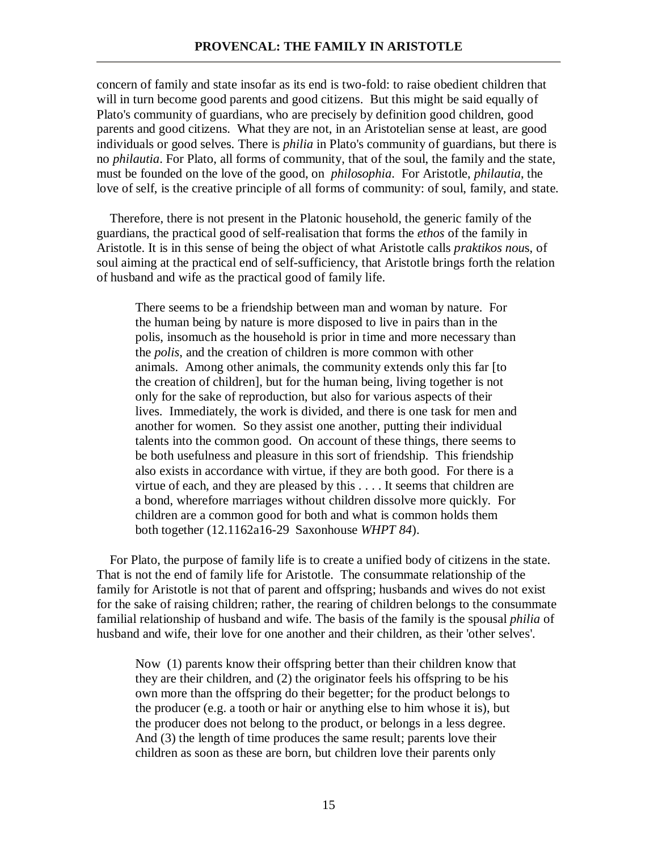concern of family and state insofar as its end is two-fold: to raise obedient children that will in turn become good parents and good citizens. But this might be said equally of Plato's community of guardians, who are precisely by definition good children, good parents and good citizens. What they are not, in an Aristotelian sense at least, are good individuals or good selves. There is *philia* in Plato's community of guardians, but there is no *philautia*. For Plato, all forms of community, that of the soul, the family and the state, must be founded on the love of the good, on *philosophia*. For Aristotle, *philautia*, the love of self, is the creative principle of all forms of community: of soul, family, and state.

 Therefore, there is not present in the Platonic household, the generic family of the guardians, the practical good of self-realisation that forms the *ethos* of the family in Aristotle. It is in this sense of being the object of what Aristotle calls *praktikos nou*s, of soul aiming at the practical end of self-sufficiency, that Aristotle brings forth the relation of husband and wife as the practical good of family life.

There seems to be a friendship between man and woman by nature. For the human being by nature is more disposed to live in pairs than in the polis, insomuch as the household is prior in time and more necessary than the *polis*, and the creation of children is more common with other animals. Among other animals, the community extends only this far [to the creation of children], but for the human being, living together is not only for the sake of reproduction, but also for various aspects of their lives. Immediately, the work is divided, and there is one task for men and another for women. So they assist one another, putting their individual talents into the common good. On account of these things, there seems to be both usefulness and pleasure in this sort of friendship. This friendship also exists in accordance with virtue, if they are both good. For there is a virtue of each, and they are pleased by this . . . . It seems that children are a bond, wherefore marriages without children dissolve more quickly. For children are a common good for both and what is common holds them both together (12.1162a16-29 Saxonhouse *WHPT 84*).

 For Plato, the purpose of family life is to create a unified body of citizens in the state. That is not the end of family life for Aristotle. The consummate relationship of the family for Aristotle is not that of parent and offspring; husbands and wives do not exist for the sake of raising children; rather, the rearing of children belongs to the consummate familial relationship of husband and wife. The basis of the family is the spousal *philia* of husband and wife, their love for one another and their children, as their 'other selves'.

Now (1) parents know their offspring better than their children know that they are their children, and (2) the originator feels his offspring to be his own more than the offspring do their begetter; for the product belongs to the producer (e.g. a tooth or hair or anything else to him whose it is), but the producer does not belong to the product, or belongs in a less degree. And (3) the length of time produces the same result; parents love their children as soon as these are born, but children love their parents only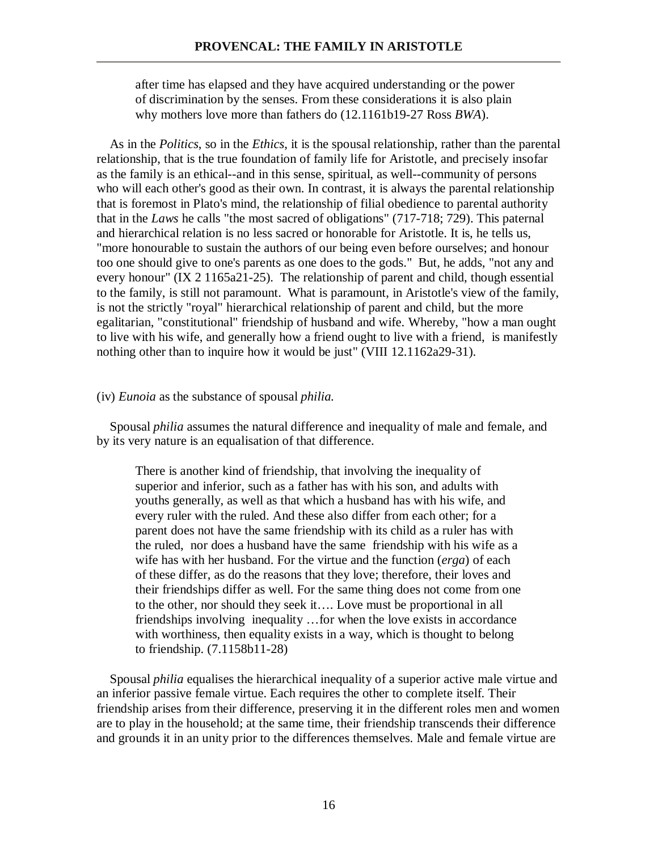after time has elapsed and they have acquired understanding or the power of discrimination by the senses. From these considerations it is also plain why mothers love more than fathers do (12.1161b19-27 Ross *BWA*).

 As in the *Politics*, so in the *Ethics*, it is the spousal relationship, rather than the parental relationship, that is the true foundation of family life for Aristotle, and precisely insofar as the family is an ethical--and in this sense, spiritual, as well--community of persons who will each other's good as their own. In contrast, it is always the parental relationship that is foremost in Plato's mind, the relationship of filial obedience to parental authority that in the *Laws* he calls "the most sacred of obligations" (717-718; 729). This paternal and hierarchical relation is no less sacred or honorable for Aristotle. It is, he tells us, "more honourable to sustain the authors of our being even before ourselves; and honour too one should give to one's parents as one does to the gods." But, he adds, "not any and every honour" (IX 2 1165a21-25). The relationship of parent and child, though essential to the family, is still not paramount. What is paramount, in Aristotle's view of the family, is not the strictly "royal" hierarchical relationship of parent and child, but the more egalitarian, "constitutional" friendship of husband and wife. Whereby, "how a man ought to live with his wife, and generally how a friend ought to live with a friend, is manifestly nothing other than to inquire how it would be just" (VIII 12.1162a29-31).

## (iv) *Eunoia* as the substance of spousal *philia.*

 Spousal *philia* assumes the natural difference and inequality of male and female, and by its very nature is an equalisation of that difference.

There is another kind of friendship, that involving the inequality of superior and inferior, such as a father has with his son, and adults with youths generally, as well as that which a husband has with his wife, and every ruler with the ruled. And these also differ from each other; for a parent does not have the same friendship with its child as a ruler has with the ruled, nor does a husband have the same friendship with his wife as a wife has with her husband. For the virtue and the function (*erga*) of each of these differ, as do the reasons that they love; therefore, their loves and their friendships differ as well. For the same thing does not come from one to the other, nor should they seek it…. Love must be proportional in all friendships involving inequality …for when the love exists in accordance with worthiness, then equality exists in a way, which is thought to belong to friendship. (7.1158b11-28)

 Spousal *philia* equalises the hierarchical inequality of a superior active male virtue and an inferior passive female virtue. Each requires the other to complete itself. Their friendship arises from their difference, preserving it in the different roles men and women are to play in the household; at the same time, their friendship transcends their difference and grounds it in an unity prior to the differences themselves. Male and female virtue are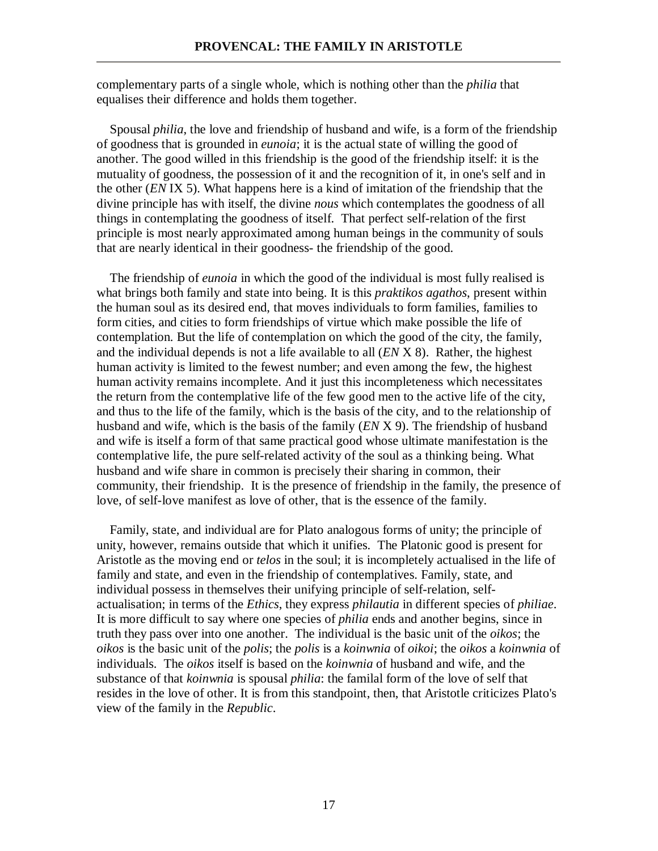complementary parts of a single whole, which is nothing other than the *philia* that equalises their difference and holds them together.

 Spousal *philia*, the love and friendship of husband and wife, is a form of the friendship of goodness that is grounded in *eunoia*; it is the actual state of willing the good of another. The good willed in this friendship is the good of the friendship itself: it is the mutuality of goodness, the possession of it and the recognition of it, in one's self and in the other (*EN* IX 5). What happens here is a kind of imitation of the friendship that the divine principle has with itself, the divine *nous* which contemplates the goodness of all things in contemplating the goodness of itself. That perfect self-relation of the first principle is most nearly approximated among human beings in the community of souls that are nearly identical in their goodness- the friendship of the good.

 The friendship of *eunoia* in which the good of the individual is most fully realised is what brings both family and state into being. It is this *praktikos agathos*, present within the human soul as its desired end, that moves individuals to form families, families to form cities, and cities to form friendships of virtue which make possible the life of contemplation. But the life of contemplation on which the good of the city, the family, and the individual depends is not a life available to all (*EN* X 8). Rather, the highest human activity is limited to the fewest number; and even among the few, the highest human activity remains incomplete. And it just this incompleteness which necessitates the return from the contemplative life of the few good men to the active life of the city, and thus to the life of the family, which is the basis of the city, and to the relationship of husband and wife, which is the basis of the family (*EN* X 9). The friendship of husband and wife is itself a form of that same practical good whose ultimate manifestation is the contemplative life, the pure self-related activity of the soul as a thinking being. What husband and wife share in common is precisely their sharing in common, their community, their friendship. It is the presence of friendship in the family, the presence of love, of self-love manifest as love of other, that is the essence of the family.

 Family, state, and individual are for Plato analogous forms of unity; the principle of unity, however, remains outside that which it unifies. The Platonic good is present for Aristotle as the moving end or *telos* in the soul; it is incompletely actualised in the life of family and state, and even in the friendship of contemplatives. Family, state, and individual possess in themselves their unifying principle of self-relation, selfactualisation; in terms of the *Ethics*, they express *philautia* in different species of *philiae*. It is more difficult to say where one species of *philia* ends and another begins, since in truth they pass over into one another. The individual is the basic unit of the *oikos*; the *oikos* is the basic unit of the *polis*; the *polis* is a *koinwnia* of *oikoi*; the *oikos* a *koinwnia* of individuals. The *oikos* itself is based on the *koinwnia* of husband and wife, and the substance of that *koinwnia* is spousal *philia*: the familal form of the love of self that resides in the love of other. It is from this standpoint, then, that Aristotle criticizes Plato's view of the family in the *Republic*.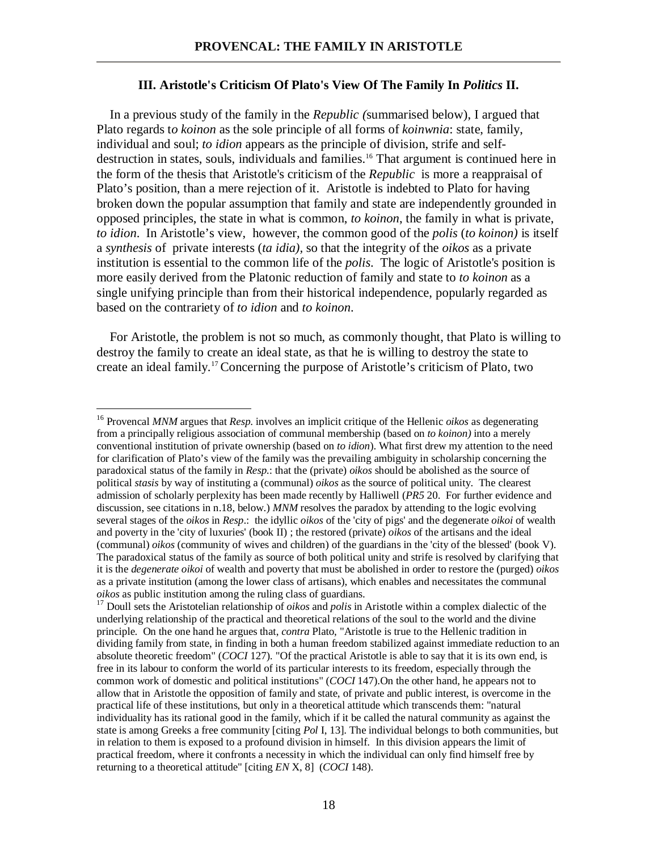## **III. Aristotle's Criticism Of Plato's View Of The Family In** *Politics* **II.**

 In a previous study of the family in the *Republic (*summarised below), I argued that Plato regards t*o koinon* as the sole principle of all forms of *koinwnia*: state, family, individual and soul; *to idion* appears as the principle of division, strife and selfdestruction in states, souls, individuals and families.<sup>16</sup> That argument is continued here in the form of the thesis that Aristotle's criticism of the *Republic* is more a reappraisal of Plato's position, than a mere rejection of it. Aristotle is indebted to Plato for having broken down the popular assumption that family and state are independently grounded in opposed principles, the state in what is common, *to koinon*, the family in what is private, *to idion*. In Aristotle's view, however, the common good of the *polis* (*to koinon)* is itself a *synthesis* of private interests (*ta idia),* so that the integrity of the *oikos* as a private institution is essential to the common life of the *polis*. The logic of Aristotle's position is more easily derived from the Platonic reduction of family and state to *to koinon* as a single unifying principle than from their historical independence, popularly regarded as based on the contrariety of *to idion* and *to koinon*.

 For Aristotle, the problem is not so much, as commonly thought, that Plato is willing to destroy the family to create an ideal state, as that he is willing to destroy the state to create an ideal family.<sup>17</sup> Concerning the purpose of Aristotle's criticism of Plato, two

<sup>16</sup> Provencal *MNM* argues that *Resp*. involves an implicit critique of the Hellenic *oikos* as degenerating from a principally religious association of communal membership (based on *to koinon)* into a merely conventional institution of private ownership (based on *to idion*). What first drew my attention to the need for clarification of Plato's view of the family was the prevailing ambiguity in scholarship concerning the paradoxical status of the family in *Resp.*: that the (private) *oikos* should be abolished as the source of political *stasis* by way of instituting a (communal) *oikos* as the source of political unity. The clearest admission of scholarly perplexity has been made recently by Halliwell (*PR5* 20. For further evidence and discussion, see citations in n.18, below.) *MNM* resolves the paradox by attending to the logic evolving several stages of the *oikos* in *Resp*.: the idyllic *oikos* of the 'city of pigs' and the degenerate *oikoi* of wealth and poverty in the 'city of luxuries' (book II) ; the restored (private) *oikos* of the artisans and the ideal (communal) *oikos* (community of wives and children) of the guardians in the 'city of the blessed' (book V). The paradoxical status of the family as source of both political unity and strife is resolved by clarifying that it is the *degenerate oikoi* of wealth and poverty that must be abolished in order to restore the (purged) *oikos* as a private institution (among the lower class of artisans), which enables and necessitates the communal *oikos* as public institution among the ruling class of guardians.

<sup>&</sup>lt;sup>17</sup> Doull sets the Aristotelian relationship of *oikos* and *polis* in Aristotle within a complex dialectic of the underlying relationship of the practical and theoretical relations of the soul to the world and the divine principle. On the one hand he argues that, *contra* Plato, "Aristotle is true to the Hellenic tradition in dividing family from state, in finding in both a human freedom stabilized against immediate reduction to an absolute theoretic freedom" (*COCI* 127). "Of the practical Aristotle is able to say that it is its own end, is free in its labour to conform the world of its particular interests to its freedom, especially through the common work of domestic and political institutions" (*COCI* 147).On the other hand, he appears not to allow that in Aristotle the opposition of family and state, of private and public interest, is overcome in the practical life of these institutions, but only in a theoretical attitude which transcends them: "natural individuality has its rational good in the family, which if it be called the natural community as against the state is among Greeks a free community [citing *Pol* I, 13]. The individual belongs to both communities, but in relation to them is exposed to a profound division in himself. In this division appears the limit of practical freedom, where it confronts a necessity in which the individual can only find himself free by returning to a theoretical attitude" [citing *EN* X, 8] (*COCI* 148).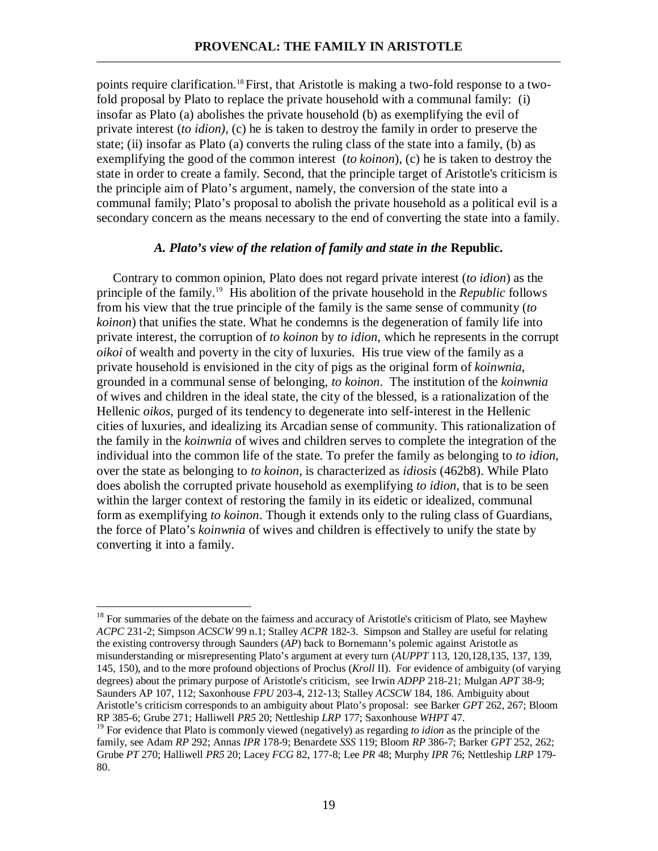points require clarification.<sup>18</sup> First, that Aristotle is making a two-fold response to a twofold proposal by Plato to replace the private household with a communal family: (i) insofar as Plato (a) abolishes the private household (b) as exemplifying the evil of private interest (*to idion)*, (c) he is taken to destroy the family in order to preserve the state; (ii) insofar as Plato (a) converts the ruling class of the state into a family, (b) as exemplifying the good of the common interest (*to koinon*), (c) he is taken to destroy the state in order to create a family. Second, that the principle target of Aristotle's criticism is the principle aim of Plato's argument, namely, the conversion of the state into a communal family; Plato's proposal to abolish the private household as a political evil is a secondary concern as the means necessary to the end of converting the state into a family.

# *A. Plato's view of the relation of family and state in the* **Republic.**

 Contrary to common opinion, Plato does not regard private interest (*to idion*) as the principle of the family.<sup>19</sup> His abolition of the private household in the *Republic* follows from his view that the true principle of the family is the same sense of community (*to koinon*) that unifies the state. What he condemns is the degeneration of family life into private interest, the corruption of *to koinon* by *to idion*, which he represents in the corrupt *oikoi* of wealth and poverty in the city of luxuries. His true view of the family as a private household is envisioned in the city of pigs as the original form of *koinwnia*, grounded in a communal sense of belonging, *to koinon*. The institution of the *koinwnia* of wives and children in the ideal state, the city of the blessed, is a rationalization of the Hellenic *oikos*, purged of its tendency to degenerate into self-interest in the Hellenic cities of luxuries, and idealizing its Arcadian sense of community. This rationalization of the family in the *koinwnia* of wives and children serves to complete the integration of the individual into the common life of the state. To prefer the family as belonging to *to idion*, over the state as belonging to *to koinon*, is characterized as *idiosis* (462b8). While Plato does abolish the corrupted private household as exemplifying *to idion*, that is to be seen within the larger context of restoring the family in its eidetic or idealized, communal form as exemplifying *to koinon*. Though it extends only to the ruling class of Guardians, the force of Plato's *koinwnia* of wives and children is effectively to unify the state by converting it into a family.

 $18$  For summaries of the debate on the fairness and accuracy of Aristotle's criticism of Plato, see Mayhew *ACPC* 231-2; Simpson *ACSCW* 99 n.1; Stalley *ACPR* 182-3. Simpson and Stalley are useful for relating the existing controversy through Saunders (*AP*) back to Bornemann's polemic against Aristotle as misunderstanding or misrepresenting Plato's argument at every turn (*AUPPT* 113, 120,128,135, 137, 139, 145, 150), and to the more profound objections of Proclus (*Kroll* II). For evidence of ambiguity (of varying degrees) about the primary purpose of Aristotle's criticism, see Irwin *ADPP* 218-21; Mulgan *APT* 38-9; Saunders AP 107, 112; Saxonhouse *FPU* 203-4, 212-13; Stalley *ACSCW* 184, 186. Ambiguity about Aristotle's criticism corresponds to an ambiguity about Plato's proposal: see Barker *GPT* 262, 267; Bloom RP 385-6; Grube 271; Halliwell *PR5* 20; Nettleship *LRP* 177; Saxonhouse *WHPT* 47.

<sup>&</sup>lt;sup>19</sup> For evidence that Plato is commonly viewed (negatively) as regarding *to idion* as the principle of the family, see Adam *RP* 292; Annas *IPR* 178-9; Benardete *SSS* 119; Bloom *RP* 386-7; Barker *GPT* 252, 262; Grube *PT* 270; Halliwell *PR5* 20; Lacey *FCG* 82, 177-8; Lee *PR* 48; Murphy *IPR* 76; Nettleship *LRP* 179- 80.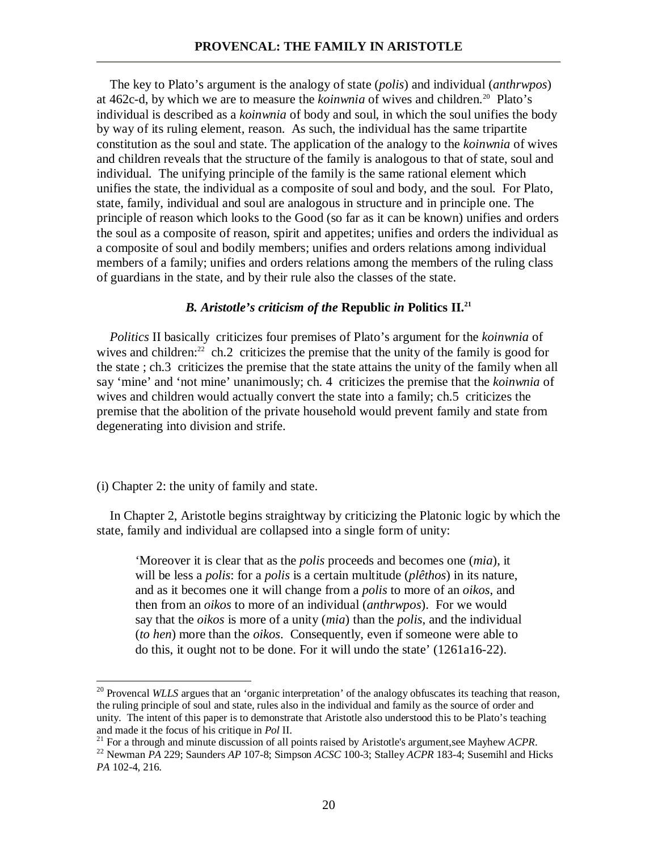The key to Plato's argument is the analogy of state (*polis*) and individual (*anthrwpos*) at 462c-d, by which we are to measure the *koinwnia* of wives and children.<sup>20</sup> Plato's individual is described as a *koinwnia* of body and soul, in which the soul unifies the body by way of its ruling element, reason. As such, the individual has the same tripartite constitution as the soul and state. The application of the analogy to the *koinwnia* of wives and children reveals that the structure of the family is analogous to that of state, soul and individual. The unifying principle of the family is the same rational element which unifies the state, the individual as a composite of soul and body, and the soul. For Plato, state, family, individual and soul are analogous in structure and in principle one. The principle of reason which looks to the Good (so far as it can be known) unifies and orders the soul as a composite of reason, spirit and appetites; unifies and orders the individual as a composite of soul and bodily members; unifies and orders relations among individual members of a family; unifies and orders relations among the members of the ruling class of guardians in the state, and by their rule also the classes of the state.

## *B. Aristotle's criticism of the* **Republic** *in* **Politics II.<sup>21</sup>**

 *Politics* II basically criticizes four premises of Plato's argument for the *koinwnia* of wives and children:<sup>22</sup> ch.2 criticizes the premise that the unity of the family is good for the state ; ch.3 criticizes the premise that the state attains the unity of the family when all say 'mine' and 'not mine' unanimously; ch. 4 criticizes the premise that the *koinwnia* of wives and children would actually convert the state into a family; ch.5 criticizes the premise that the abolition of the private household would prevent family and state from degenerating into division and strife.

(i) Chapter 2: the unity of family and state.

<u>.</u>

 In Chapter 2, Aristotle begins straightway by criticizing the Platonic logic by which the state, family and individual are collapsed into a single form of unity:

'Moreover it is clear that as the *polis* proceeds and becomes one (*mia*), it will be less a *polis*: for a *polis* is a certain multitude (*plêthos*) in its nature, and as it becomes one it will change from a *polis* to more of an *oikos*, and then from an *oikos* to more of an individual (*anthrwpos*). For we would say that the *oikos* is more of a unity (*mia*) than the *polis*, and the individual (*to hen*) more than the *oikos*. Consequently, even if someone were able to do this, it ought not to be done. For it will undo the state' (1261a16-22).

<sup>&</sup>lt;sup>20</sup> Provencal *WLLS* argues that an 'organic interpretation' of the analogy obfuscates its teaching that reason, the ruling principle of soul and state, rules also in the individual and family as the source of order and unity. The intent of this paper is to demonstrate that Aristotle also understood this to be Plato's teaching and made it the focus of his critique in *Pol* II.

<sup>21</sup> For a through and minute discussion of all points raised by Aristotle's argument,see Mayhew *ACPR*.

<sup>22</sup> Newman *PA* 229; Saunders *AP* 107-8; Simpson *ACSC* 100-3; Stalley *ACPR* 183-4; Susemihl and Hicks *PA* 102-4, 216.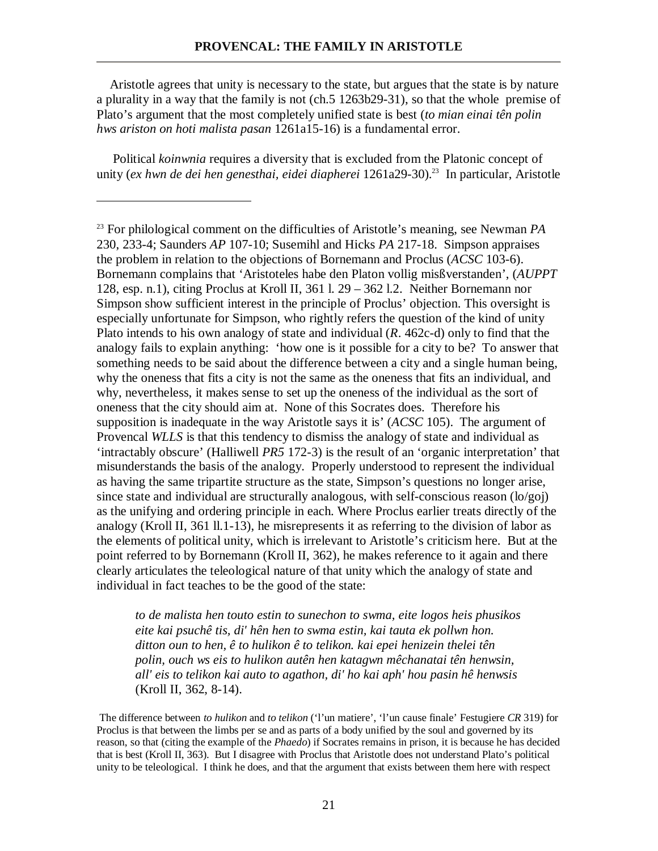Aristotle agrees that unity is necessary to the state, but argues that the state is by nature a plurality in a way that the family is not (ch.5 1263b29-31), so that the whole premise of Plato's argument that the most completely unified state is best (*to mian einai tên polin hws ariston on hoti malista pasan* 1261a15-16) is a fundamental error.

 Political *koinwnia* requires a diversity that is excluded from the Platonic concept of unity (*ex hwn de dei hen genesthai, eidei diapherei* 1261a29-30).<sup>23</sup> In particular, Aristotle

<u>.</u>

*to de malista hen touto estin to sunechon to swma, eite logos heis phusikos eite kai psuchê tis, di' hên hen to swma estin, kai tauta ek pollwn hon. ditton oun to hen, ê to hulikon ê to telikon. kai epei henizein thelei tên polin, ouch ws eis to hulikon autên hen katagwn mêchanatai tên henwsin, all' eis to telikon kai auto to agathon, di' ho kai aph' hou pasin hê henwsis* (Kroll II, 362, 8-14).

 The difference between *to hulikon* and *to telikon* ('l'un matiere', 'l'un cause finale' Festugiere *CR* 319) for Proclus is that between the limbs per se and as parts of a body unified by the soul and governed by its reason, so that (citing the example of the *Phaedo*) if Socrates remains in prison, it is because he has decided that is best (Kroll II, 363). But I disagree with Proclus that Aristotle does not understand Plato's political unity to be teleological. I think he does, and that the argument that exists between them here with respect

<sup>23</sup> For philological comment on the difficulties of Aristotle's meaning, see Newman *PA* 230, 233-4; Saunders *AP* 107-10; Susemihl and Hicks *PA* 217-18. Simpson appraises the problem in relation to the objections of Bornemann and Proclus (*ACSC* 103-6). Bornemann complains that 'Aristoteles habe den Platon vollig misßverstanden', (*AUPPT* 128, esp. n.1), citing Proclus at Kroll II, 361 l. 29 – 362 l.2. Neither Bornemann nor Simpson show sufficient interest in the principle of Proclus' objection. This oversight is especially unfortunate for Simpson, who rightly refers the question of the kind of unity Plato intends to his own analogy of state and individual (*R*. 462c-d) only to find that the analogy fails to explain anything: 'how one is it possible for a city to be? To answer that something needs to be said about the difference between a city and a single human being, why the oneness that fits a city is not the same as the oneness that fits an individual, and why, nevertheless, it makes sense to set up the oneness of the individual as the sort of oneness that the city should aim at. None of this Socrates does. Therefore his supposition is inadequate in the way Aristotle says it is' (*ACSC* 105). The argument of Provencal *WLLS* is that this tendency to dismiss the analogy of state and individual as 'intractably obscure' (Halliwell *PR5* 172-3) is the result of an 'organic interpretation' that misunderstands the basis of the analogy. Properly understood to represent the individual as having the same tripartite structure as the state, Simpson's questions no longer arise, since state and individual are structurally analogous, with self-conscious reason (lo/goj) as the unifying and ordering principle in each. Where Proclus earlier treats directly of the analogy (Kroll II, 361 ll.1-13), he misrepresents it as referring to the division of labor as the elements of political unity, which is irrelevant to Aristotle's criticism here. But at the point referred to by Bornemann (Kroll II, 362), he makes reference to it again and there clearly articulates the teleological nature of that unity which the analogy of state and individual in fact teaches to be the good of the state: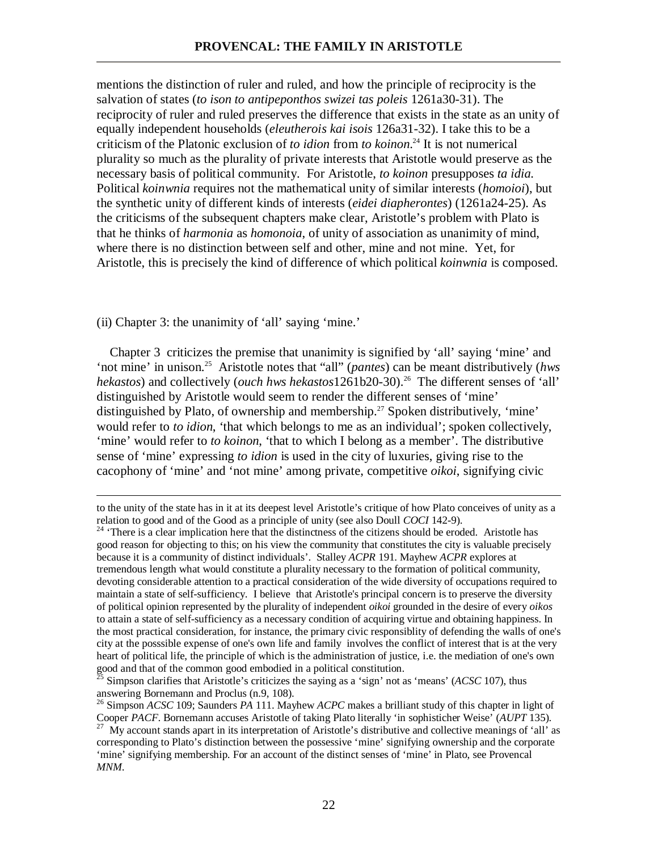mentions the distinction of ruler and ruled, and how the principle of reciprocity is the salvation of states (*to ison to antipeponthos swizei tas poleis* 1261a30-31). The reciprocity of ruler and ruled preserves the difference that exists in the state as an unity of equally independent households (*eleutherois kai isois* 126a31-32). I take this to be a criticism of the Platonic exclusion of *to idion* from *to koinon*. <sup>24</sup> It is not numerical plurality so much as the plurality of private interests that Aristotle would preserve as the necessary basis of political community. For Aristotle, *to koinon* presupposes *ta idia*. Political *koinwnia* requires not the mathematical unity of similar interests (*homoioi*), but the synthetic unity of different kinds of interests (*eidei diapherontes*) (1261a24-25). As the criticisms of the subsequent chapters make clear, Aristotle's problem with Plato is that he thinks of *harmonia* as *homonoia*, of unity of association as unanimity of mind, where there is no distinction between self and other, mine and not mine. Yet, for Aristotle, this is precisely the kind of difference of which political *koinwnia* is composed.

(ii) Chapter 3: the unanimity of 'all' saying 'mine.'

 $\overline{a}$ 

 Chapter 3 criticizes the premise that unanimity is signified by 'all' saying 'mine' and 'not mine' in unison.<sup>25</sup> Aristotle notes that "all" (*pantes*) can be meant distributively (*hws hekastos*) and collectively (*ouch hws hekastos*1261b20-30).<sup>26</sup> The different senses of 'all' distinguished by Aristotle would seem to render the different senses of 'mine' distinguished by Plato, of ownership and membership.<sup>27</sup> Spoken distributively, 'mine' would refer to *to idion*, 'that which belongs to me as an individual'; spoken collectively, 'mine' would refer to *to koinon*, 'that to which I belong as a member'. The distributive sense of 'mine' expressing *to idion* is used in the city of luxuries, giving rise to the cacophony of 'mine' and 'not mine' among private, competitive *oikoi*, signifying civic

to the unity of the state has in it at its deepest level Aristotle's critique of how Plato conceives of unity as a relation to good and of the Good as a principle of unity (see also Doull *COCI* 142-9).

<sup>&</sup>lt;sup>24</sup> 'There is a clear implication here that the distinctness of the citizens should be eroded. Aristotle has good reason for objecting to this; on his view the community that constitutes the city is valuable precisely because it is a community of distinct individuals'. Stalley *ACPR* 191. Mayhew *ACPR* explores at tremendous length what would constitute a plurality necessary to the formation of political community, devoting considerable attention to a practical consideration of the wide diversity of occupations required to maintain a state of self-sufficiency. I believe that Aristotle's principal concern is to preserve the diversity of political opinion represented by the plurality of independent *oikoi* grounded in the desire of every *oikos* to attain a state of self-sufficiency as a necessary condition of acquiring virtue and obtaining happiness. In the most practical consideration, for instance, the primary civic responsiblity of defending the walls of one's city at the posssible expense of one's own life and family involves the conflict of interest that is at the very heart of political life, the principle of which is the administration of justice, i.e. the mediation of one's own good and that of the common good embodied in a political constitution.

<sup>&</sup>lt;sup>3</sup> Simpson clarifies that Aristotle's criticizes the saying as a 'sign' not as 'means' (*ACSC* 107), thus answering Bornemann and Proclus (n.9, 108).

<sup>26</sup> Simpson *ACSC* 109; Saunders *PA* 111. Mayhew *ACPC* makes a brilliant study of this chapter in light of Cooper *PACF*. Bornemann accuses Aristotle of taking Plato literally 'in sophisticher Weise' (*AUPT* 135).

<sup>&</sup>lt;sup>27</sup> My account stands apart in its interpretation of Aristotle's distributive and collective meanings of 'all' as corresponding to Plato's distinction between the possessive 'mine' signifying ownership and the corporate 'mine' signifying membership. For an account of the distinct senses of 'mine' in Plato, see Provencal *MNM*.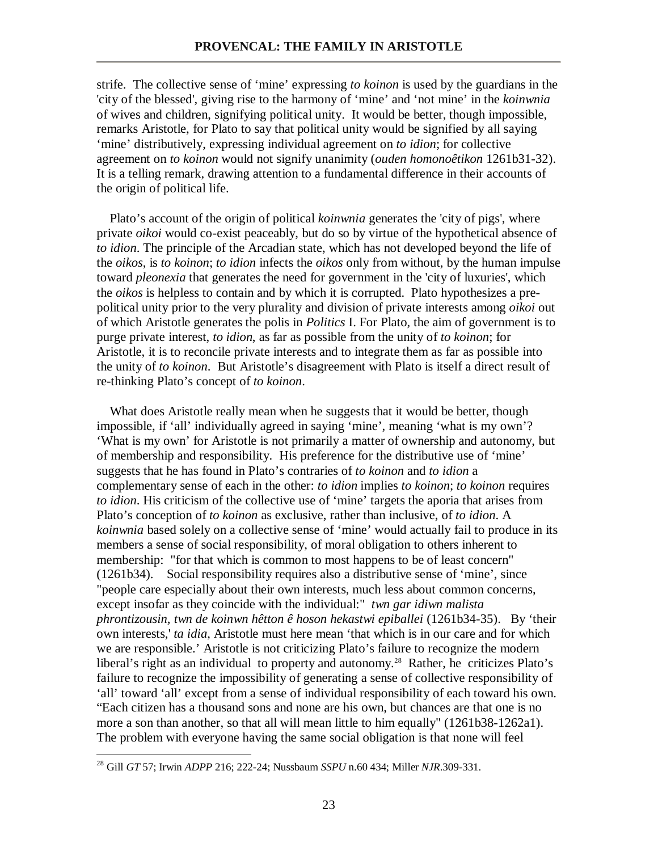strife. The collective sense of 'mine' expressing *to koinon* is used by the guardians in the 'city of the blessed', giving rise to the harmony of 'mine' and 'not mine' in the *koinwnia* of wives and children, signifying political unity. It would be better, though impossible, remarks Aristotle, for Plato to say that political unity would be signified by all saying 'mine' distributively, expressing individual agreement on *to idion*; for collective agreement on *to koinon* would not signify unanimity (*ouden homonoêtikon* 1261b31-32). It is a telling remark, drawing attention to a fundamental difference in their accounts of the origin of political life.

 Plato's account of the origin of political *koinwnia* generates the 'city of pigs', where private *oikoi* would co-exist peaceably, but do so by virtue of the hypothetical absence of *to idion*. The principle of the Arcadian state, which has not developed beyond the life of the *oikos*, is *to koinon*; *to idion* infects the *oikos* only from without, by the human impulse toward *pleonexia* that generates the need for government in the 'city of luxuries', which the *oikos* is helpless to contain and by which it is corrupted. Plato hypothesizes a prepolitical unity prior to the very plurality and division of private interests among *oikoi* out of which Aristotle generates the polis in *Politics* I. For Plato, the aim of government is to purge private interest, *to idion*, as far as possible from the unity of *to koinon*; for Aristotle, it is to reconcile private interests and to integrate them as far as possible into the unity of *to koinon*. But Aristotle's disagreement with Plato is itself a direct result of re-thinking Plato's concept of *to koinon*.

What does Aristotle really mean when he suggests that it would be better, though impossible, if 'all' individually agreed in saying 'mine', meaning 'what is my own'? 'What is my own' for Aristotle is not primarily a matter of ownership and autonomy, but of membership and responsibility. His preference for the distributive use of 'mine' suggests that he has found in Plato's contraries of *to koinon* and *to idion* a complementary sense of each in the other: *to idion* implies *to koinon*; *to koinon* requires *to idion*. His criticism of the collective use of 'mine' targets the aporia that arises from Plato's conception of *to koinon* as exclusive, rather than inclusive, of *to idion*. A *koinwnia* based solely on a collective sense of 'mine' would actually fail to produce in its members a sense of social responsibility, of moral obligation to others inherent to membership: "for that which is common to most happens to be of least concern" (1261b34). Social responsibility requires also a distributive sense of 'mine', since "people care especially about their own interests, much less about common concerns, except insofar as they coincide with the individual:" *twn gar idiwn malista phrontizousin, twn de koinwn hêtton ê hoson hekastwi epiballei* (1261b34-35). By 'their own interests,' *ta idia*, Aristotle must here mean 'that which is in our care and for which we are responsible.' Aristotle is not criticizing Plato's failure to recognize the modern liberal's right as an individual to property and autonomy.<sup>28</sup> Rather, he criticizes Plato's failure to recognize the impossibility of generating a sense of collective responsibility of 'all' toward 'all' except from a sense of individual responsibility of each toward his own. "Each citizen has a thousand sons and none are his own, but chances are that one is no more a son than another, so that all will mean little to him equally" (1261b38-1262a1). The problem with everyone having the same social obligation is that none will feel

<sup>28</sup> Gill *GT* 57; Irwin *ADPP* 216; 222-24; Nussbaum *SSPU* n.60 434; Miller *NJR*.309-331.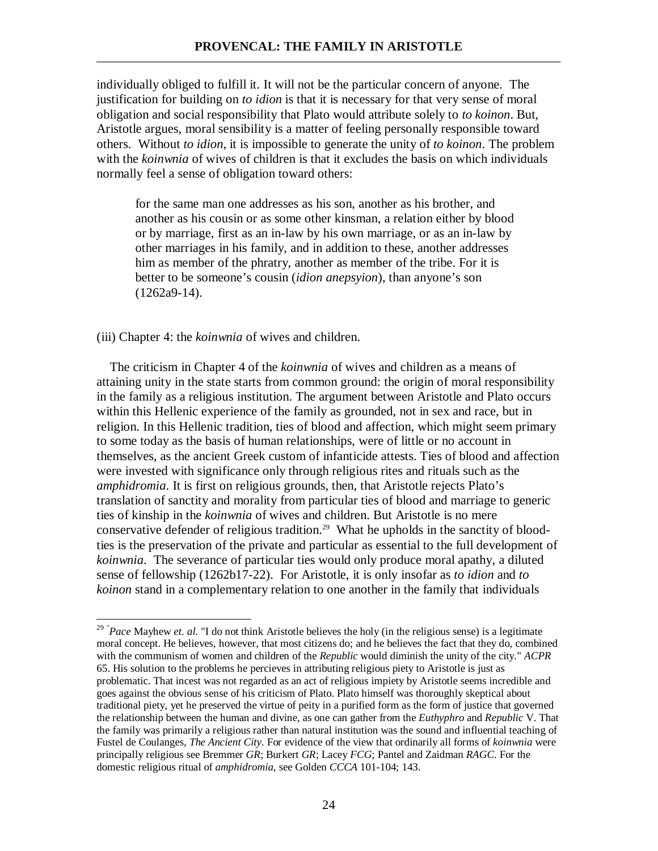individually obliged to fulfill it. It will not be the particular concern of anyone. The justification for building on *to idion* is that it is necessary for that very sense of moral obligation and social responsibility that Plato would attribute solely to *to koinon*. But, Aristotle argues, moral sensibility is a matter of feeling personally responsible toward others. Without *to idion*, it is impossible to generate the unity of *to koinon*. The problem with the *koinwnia* of wives of children is that it excludes the basis on which individuals normally feel a sense of obligation toward others:

for the same man one addresses as his son, another as his brother, and another as his cousin or as some other kinsman, a relation either by blood or by marriage, first as an in-law by his own marriage, or as an in-law by other marriages in his family, and in addition to these, another addresses him as member of the phratry, another as member of the tribe. For it is better to be someone's cousin (*idion anepsyion*), than anyone's son (1262a9-14).

(iii) Chapter 4: the *koinwnia* of wives and children.

<u>.</u>

 The criticism in Chapter 4 of the *koinwnia* of wives and children as a means of attaining unity in the state starts from common ground: the origin of moral responsibility in the family as a religious institution. The argument between Aristotle and Plato occurs within this Hellenic experience of the family as grounded, not in sex and race, but in religion. In this Hellenic tradition, ties of blood and affection, which might seem primary to some today as the basis of human relationships, were of little or no account in themselves, as the ancient Greek custom of infanticide attests. Ties of blood and affection were invested with significance only through religious rites and rituals such as the *amphidromia*. It is first on religious grounds, then, that Aristotle rejects Plato's translation of sanctity and morality from particular ties of blood and marriage to generic ties of kinship in the *koinwnia* of wives and children. But Aristotle is no mere conservative defender of religious tradition.<sup>29</sup> What he upholds in the sanctity of bloodties is the preservation of the private and particular as essential to the full development of *koinwnia*. The severance of particular ties would only produce moral apathy, a diluted sense of fellowship (1262b17-22). For Aristotle, it is only insofar as *to idion* and *to koinon* stand in a complementary relation to one another in the family that individuals

<sup>&</sup>lt;sup>29</sup> "*Pace* Mayhew *et. al.* "I do not think Aristotle believes the holy (in the religious sense) is a legitimate moral concept. He believes, however, that most citizens do; and he believes the fact that they do, combined with the communism of women and children of the *Republic* would diminish the unity of the city." *ACPR* 65. His solution to the problems he percieves in attributing religious piety to Aristotle is just as problematic. That incest was not regarded as an act of religious impiety by Aristotle seems incredible and goes against the obvious sense of his criticism of Plato. Plato himself was thoroughly skeptical about traditional piety, yet he preserved the virtue of peity in a purified form as the form of justice that governed the relationship between the human and divine, as one can gather from the *Euthyphro* and *Republic* V. That the family was primarily a religious rather than natural institution was the sound and influential teaching of Fustel de Coulanges, *The Ancient City*. For evidence of the view that ordinarily all forms of *koinwnia* were principally religious see Bremmer *GR*; Burkert *GR*; Lacey *FCG*; Pantel and Zaidman *RAGC.* For the domestic religious ritual of *amphidromia*, see Golden *CCCA* 101-104; 143.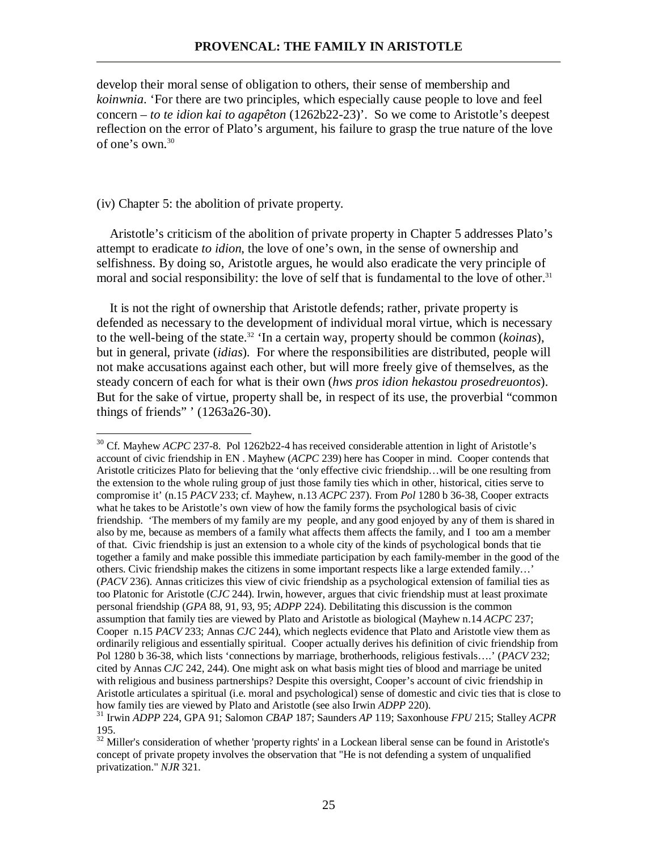develop their moral sense of obligation to others, their sense of membership and *koinwnia*. 'For there are two principles, which especially cause people to love and feel concern – *to te idion kai to agapêton* (1262b22-23)'. So we come to Aristotle's deepest reflection on the error of Plato's argument, his failure to grasp the true nature of the love of one's own.<sup>30</sup>

## (iv) Chapter 5: the abolition of private property.

-

 Aristotle's criticism of the abolition of private property in Chapter 5 addresses Plato's attempt to eradicate *to idion*, the love of one's own, in the sense of ownership and selfishness. By doing so, Aristotle argues, he would also eradicate the very principle of moral and social responsibility: the love of self that is fundamental to the love of other.<sup>31</sup>

 It is not the right of ownership that Aristotle defends; rather, private property is defended as necessary to the development of individual moral virtue, which is necessary to the well-being of the state.<sup>32</sup> 'In a certain way, property should be common (*koinas*), but in general, private (*idias*). For where the responsibilities are distributed, people will not make accusations against each other, but will more freely give of themselves, as the steady concern of each for what is their own (*hws pros idion hekastou prosedreuontos*). But for the sake of virtue, property shall be, in respect of its use, the proverbial "common things of friends" ' (1263a26-30).

<sup>&</sup>lt;sup>30</sup> Cf. Mayhew *ACPC* 237-8. Pol 1262b22-4 has received considerable attention in light of Aristotle's account of civic friendship in EN . Mayhew (*ACPC* 239) here has Cooper in mind. Cooper contends that Aristotle criticizes Plato for believing that the 'only effective civic friendship…will be one resulting from the extension to the whole ruling group of just those family ties which in other, historical, cities serve to compromise it' (n.15 *PACV* 233; cf. Mayhew, n.13 *ACPC* 237). From *Pol* 1280 b 36-38, Cooper extracts what he takes to be Aristotle's own view of how the family forms the psychological basis of civic friendship. 'The members of my family are my people, and any good enjoyed by any of them is shared in also by me, because as members of a family what affects them affects the family, and I too am a member of that. Civic friendship is just an extension to a whole city of the kinds of psychological bonds that tie together a family and make possible this immediate participation by each family-member in the good of the others. Civic friendship makes the citizens in some important respects like a large extended family…' (*PACV* 236). Annas criticizes this view of civic friendship as a psychological extension of familial ties as too Platonic for Aristotle (*CJC* 244). Irwin, however, argues that civic friendship must at least proximate personal friendship (*GPA* 88, 91, 93, 95; *ADPP* 224). Debilitating this discussion is the common assumption that family ties are viewed by Plato and Aristotle as biological (Mayhew n.14 *ACPC* 237; Cooper n.15 *PACV* 233; Annas *CJC* 244), which neglects evidence that Plato and Aristotle view them as ordinarily religious and essentially spiritual. Cooper actually derives his definition of civic friendship from Pol 1280 b 36-38, which lists 'connections by marriage, brotherhoods, religious festivals….' (*PACV* 232; cited by Annas *CJC* 242, 244). One might ask on what basis might ties of blood and marriage be united with religious and business partnerships? Despite this oversight, Cooper's account of civic friendship in Aristotle articulates a spiritual (i.e. moral and psychological) sense of domestic and civic ties that is close to how family ties are viewed by Plato and Aristotle (see also Irwin *ADPP* 220).

<sup>31</sup> Irwin *ADPP* 224, GPA 91; Salomon *CBAP* 187; Saunders *AP* 119; Saxonhouse *FPU* 215; Stalley *ACPR* 195.

<sup>&</sup>lt;sup>32</sup> Miller's consideration of whether 'property rights' in a Lockean liberal sense can be found in Aristotle's concept of private propety involves the observation that "He is not defending a system of unqualified privatization." *NJR* 321.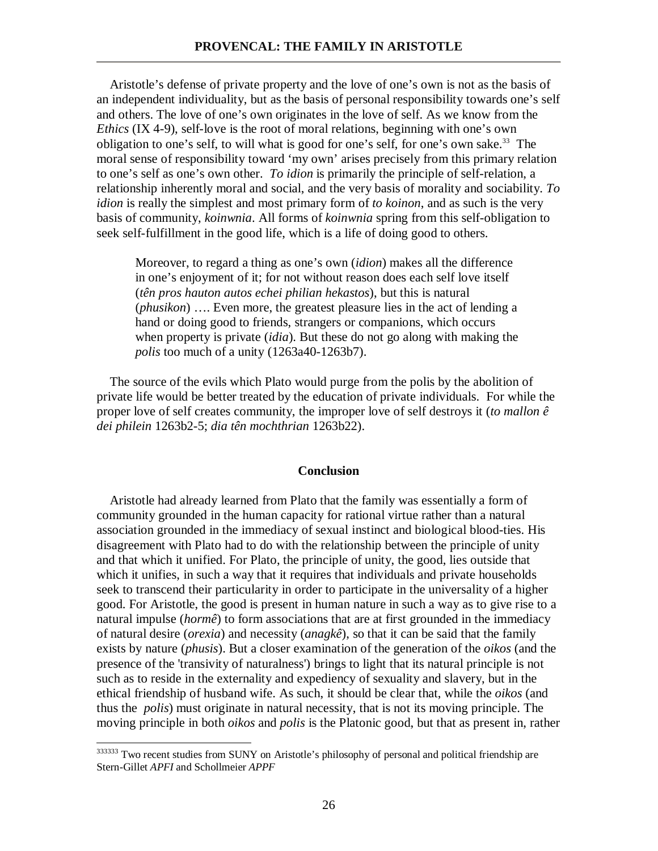Aristotle's defense of private property and the love of one's own is not as the basis of an independent individuality, but as the basis of personal responsibility towards one's self and others. The love of one's own originates in the love of self. As we know from the *Ethics* (IX 4-9), self-love is the root of moral relations, beginning with one's own obligation to one's self, to will what is good for one's self, for one's own sake.<sup>33</sup> The moral sense of responsibility toward 'my own' arises precisely from this primary relation to one's self as one's own other. *To idion* is primarily the principle of self-relation, a relationship inherently moral and social, and the very basis of morality and sociability. *To idion* is really the simplest and most primary form of *to koinon*, and as such is the very basis of community, *koinwnia*. All forms of *koinwnia* spring from this self-obligation to seek self-fulfillment in the good life, which is a life of doing good to others.

Moreover, to regard a thing as one's own (*idion*) makes all the difference in one's enjoyment of it; for not without reason does each self love itself (*tên pros hauton autos echei philian hekastos*), but this is natural (*phusikon*) …. Even more, the greatest pleasure lies in the act of lending a hand or doing good to friends, strangers or companions, which occurs when property is private (*idia*). But these do not go along with making the *polis* too much of a unity (1263a40-1263b7).

 The source of the evils which Plato would purge from the polis by the abolition of private life would be better treated by the education of private individuals. For while the proper love of self creates community, the improper love of self destroys it (*to mallon ê dei philein* 1263b2-5; *dia tên mochthrian* 1263b22).

### **Conclusion**

 Aristotle had already learned from Plato that the family was essentially a form of community grounded in the human capacity for rational virtue rather than a natural association grounded in the immediacy of sexual instinct and biological blood-ties. His disagreement with Plato had to do with the relationship between the principle of unity and that which it unified. For Plato, the principle of unity, the good, lies outside that which it unifies, in such a way that it requires that individuals and private households seek to transcend their particularity in order to participate in the universality of a higher good. For Aristotle, the good is present in human nature in such a way as to give rise to a natural impulse (*hormê*) to form associations that are at first grounded in the immediacy of natural desire (*orexia*) and necessity (*anagkê*), so that it can be said that the family exists by nature (*phusis*). But a closer examination of the generation of the *oikos* (and the presence of the 'transivity of naturalness') brings to light that its natural principle is not such as to reside in the externality and expediency of sexuality and slavery, but in the ethical friendship of husband wife. As such, it should be clear that, while the *oikos* (and thus the *polis*) must originate in natural necessity, that is not its moving principle. The moving principle in both *oikos* and *polis* is the Platonic good, but that as present in, rather

<sup>&</sup>lt;sup>333333</sup> Two recent studies from SUNY on Aristotle's philosophy of personal and political friendship are Stern-Gillet *APFI* and Schollmeier *APPF*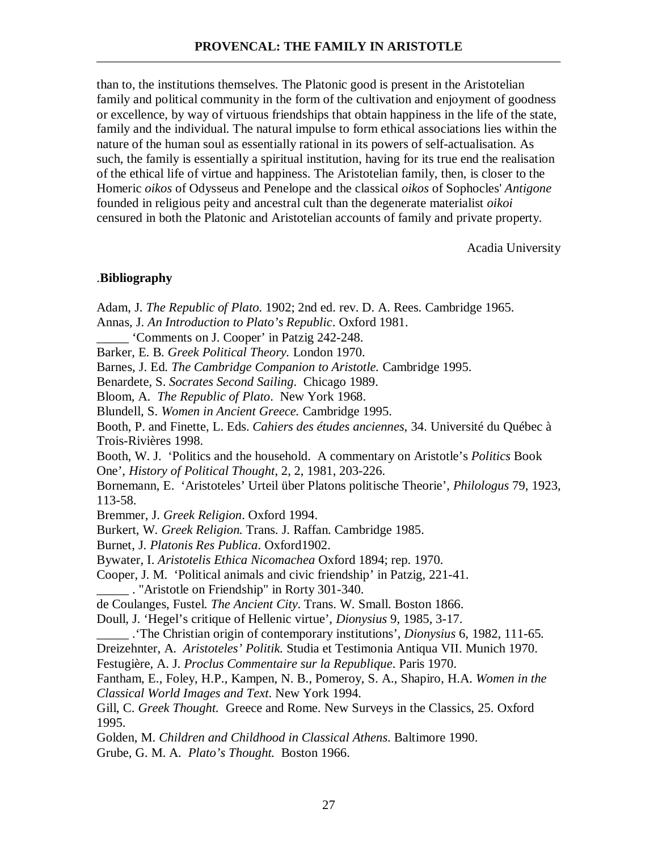than to, the institutions themselves. The Platonic good is present in the Aristotelian family and political community in the form of the cultivation and enjoyment of goodness or excellence, by way of virtuous friendships that obtain happiness in the life of the state, family and the individual. The natural impulse to form ethical associations lies within the nature of the human soul as essentially rational in its powers of self-actualisation. As such, the family is essentially a spiritual institution, having for its true end the realisation of the ethical life of virtue and happiness. The Aristotelian family, then, is closer to the Homeric *oikos* of Odysseus and Penelope and the classical *oikos* of Sophocles' *Antigone* founded in religious peity and ancestral cult than the degenerate materialist *oikoi* censured in both the Platonic and Aristotelian accounts of family and private property.

Acadia University

# .**Bibliography**

Adam, J. *The Republic of Plato*. 1902; 2nd ed. rev. D. A. Rees. Cambridge 1965. Annas, J. *An Introduction to Plato's Republic*. Oxford 1981. \_\_\_\_\_ 'Comments on J. Cooper' in Patzig 242-248. Barker, E. B. *Greek Political Theory.* London 1970. Barnes, J. Ed. *The Cambridge Companion to Aristotle.* Cambridge 1995. Benardete, S. *Socrates Second Sailing*. Chicago 1989. Bloom, A. *The Republic of Plato*. New York 1968. Blundell, S. *Women in Ancient Greece.* Cambridge 1995. Booth, P. and Finette, L. Eds. *Cahiers des études anciennes*, 34. Université du Québec à Trois-Rivières 1998. Booth, W. J. 'Politics and the household. A commentary on Aristotle's *Politics* Book One', *History of Political Thought*, 2, 2, 1981, 203-226. Bornemann, E. 'Aristoteles' Urteil über Platons politische Theorie', *Philologus* 79, 1923, 113-58. Bremmer, J. *Greek Religion*. Oxford 1994. Burkert, W. *Greek Religion.* Trans. J. Raffan. Cambridge 1985. Burnet, J. *Platonis Res Publica*. Oxford1902. Bywater, I. *Aristotelis Ethica Nicomachea* Oxford 1894; rep. 1970. Cooper, J. M. 'Political animals and civic friendship' in Patzig, 221-41. \_\_\_\_\_ . "Aristotle on Friendship" in Rorty 301-340. de Coulanges, Fustel. *The Ancient City*. Trans. W. Small. Boston 1866. Doull, J. 'Hegel's critique of Hellenic virtue', *Dionysius* 9, 1985, 3-17. \_\_\_\_\_ .'The Christian origin of contemporary institutions', *Dionysius* 6, 1982, 111-65. Dreizehnter, A. *Aristoteles' Politik.* Studia et Testimonia Antiqua VII. Munich 1970. Festugière, A. J. *Proclus Commentaire sur la Republique*. Paris 1970. Fantham, E., Foley, H.P., Kampen, N. B., Pomeroy, S. A., Shapiro, H.A. *Women in the Classical World Images and Text*. New York 1994. Gill, C. *Greek Thought.* Greece and Rome. New Surveys in the Classics, 25. Oxford 1995. Golden, M. *Children and Childhood in Classical Athens*. Baltimore 1990. Grube, G. M. A. *Plato's Thought.* Boston 1966.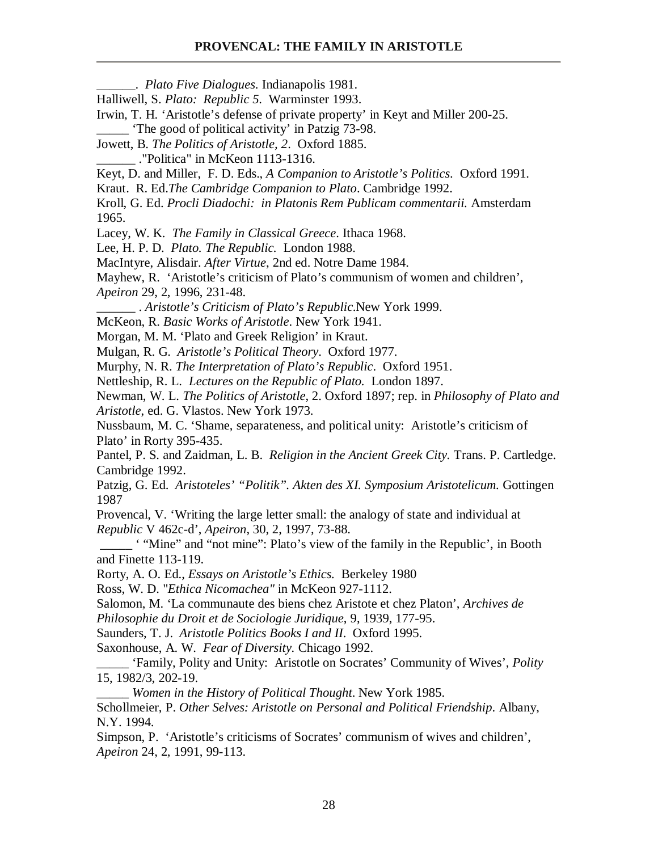\_\_\_\_\_\_. *Plato Five Dialogues*. Indianapolis 1981.

Halliwell, S. *Plato: Republic 5*. Warminster 1993.

Irwin, T. H. 'Aristotle's defense of private property' in Keyt and Miller 200-25.

\_\_\_\_\_ 'The good of political activity' in Patzig 73-98.

Jowett, B. *The Politics of Aristotle, 2*. Oxford 1885.

\_\_\_\_\_\_ ."Politica" in McKeon 1113-1316.

Keyt, D. and Miller, F. D. Eds., *A Companion to Aristotle's Politics*. Oxford 1991.

Kraut. R. Ed.*The Cambridge Companion to Plato*. Cambridge 1992.

Kroll, G. Ed. *Procli Diadochi: in Platonis Rem Publicam commentarii.* Amsterdam 1965.

Lacey, W. K. *The Family in Classical Greece*. Ithaca 1968.

Lee, H. P. D. *Plato. The Republic.* London 1988.

MacIntyre, Alisdair. *After Virtue*, 2nd ed. Notre Dame 1984.

Mayhew, R. 'Aristotle's criticism of Plato's communism of women and children', *Apeiron* 29, 2, 1996, 231-48.

\_\_\_\_\_\_ . *Aristotle's Criticism of Plato's Republic*.New York 1999.

McKeon, R. *Basic Works of Aristotle*. New York 1941.

Morgan, M. M. 'Plato and Greek Religion' in Kraut.

Mulgan, R. G. *Aristotle's Political Theory*. Oxford 1977.

Murphy, N. R. *The Interpretation of Plato's Republic*. Oxford 1951.

Nettleship, R. L. *Lectures on the Republic of Plato.* London 1897.

Newman, W. L. *The Politics of Aristotle*, 2. Oxford 1897; rep. in *Philosophy of Plato and Aristotle*, ed. G. Vlastos. New York 1973.

Nussbaum, M. C. 'Shame, separateness, and political unity: Aristotle's criticism of Plato' in Rorty 395-435.

Pantel, P. S. and Zaidman, L. B. *Religion in the Ancient Greek City.* Trans. P. Cartledge. Cambridge 1992.

Patzig, G. Ed. *Aristoteles' "Politik". Akten des XI. Symposium Aristotelicum.* Gottingen 1987

Provencal, V. 'Writing the large letter small: the analogy of state and individual at *Republic* V 462c-d', *Apeiron*, 30, 2, 1997, 73-88.

 \_\_\_\_\_ ' "Mine" and "not mine": Plato's view of the family in the Republic', in Booth and Finette 113-119.

Rorty, A. O. Ed., *Essays on Aristotle's Ethics.* Berkeley 1980

Ross, W. D. "*Ethica Nicomachea"* in McKeon 927-1112.

Salomon, M. 'La communaute des biens chez Aristote et chez Platon', *Archives de* 

*Philosophie du Droit et de Sociologie Juridique*, 9, 1939, 177-95.

Saunders, T. J. *Aristotle Politics Books I and II*. Oxford 1995.

Saxonhouse, A. W. *Fear of Diversity.* Chicago 1992.

\_\_\_\_\_ 'Family, Polity and Unity: Aristotle on Socrates' Community of Wives', *Polity* 15, 1982/3, 202-19.

\_\_\_\_\_ *Women in the History of Political Thought*. New York 1985. Schollmeier, P. *Other Selves: Aristotle on Personal and Political Friendship*. Albany,

N.Y. 1994.

Simpson, P. 'Aristotle's criticisms of Socrates' communism of wives and children', *Apeiron* 24, 2, 1991, 99-113.